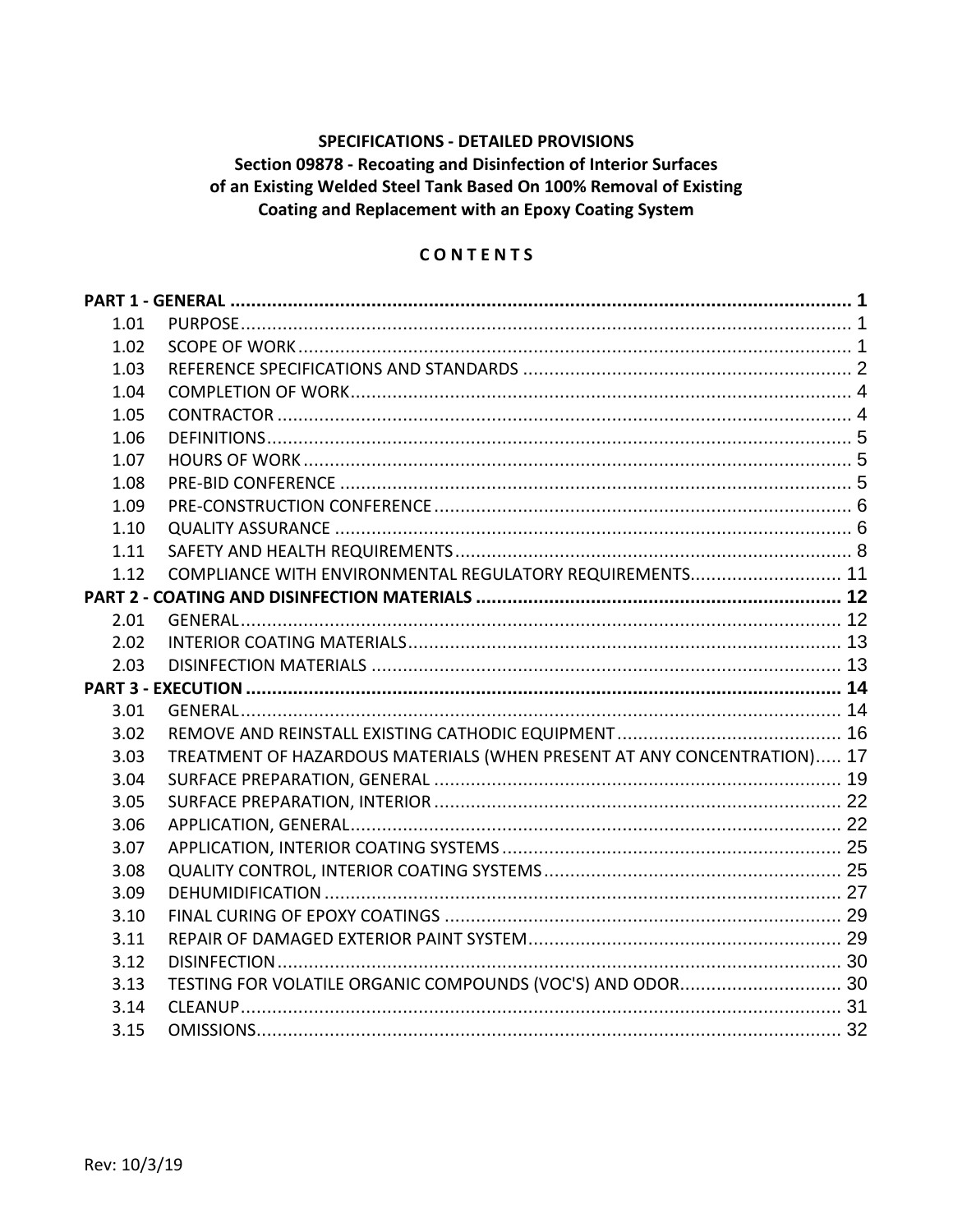# **SPECIFICATIONS - DETAILED PROVISIONS** Section 09878 - Recoating and Disinfection of Interior Surfaces of an Existing Welded Steel Tank Based On 100% Removal of Existing Coating and Replacement with an Epoxy Coating System

### CONTENTS

| 1.01 |                                                                         |  |  |  |  |
|------|-------------------------------------------------------------------------|--|--|--|--|
| 1.02 |                                                                         |  |  |  |  |
| 1.03 |                                                                         |  |  |  |  |
| 1.04 |                                                                         |  |  |  |  |
| 1.05 |                                                                         |  |  |  |  |
| 1.06 |                                                                         |  |  |  |  |
| 1.07 |                                                                         |  |  |  |  |
| 1.08 |                                                                         |  |  |  |  |
| 1.09 |                                                                         |  |  |  |  |
| 1.10 |                                                                         |  |  |  |  |
| 1.11 |                                                                         |  |  |  |  |
| 1.12 | COMPLIANCE WITH ENVIRONMENTAL REGULATORY REQUIREMENTS 11                |  |  |  |  |
|      |                                                                         |  |  |  |  |
| 2.01 |                                                                         |  |  |  |  |
| 2.02 |                                                                         |  |  |  |  |
| 2.03 |                                                                         |  |  |  |  |
|      |                                                                         |  |  |  |  |
| 3.01 |                                                                         |  |  |  |  |
| 3.02 |                                                                         |  |  |  |  |
| 3.03 | TREATMENT OF HAZARDOUS MATERIALS (WHEN PRESENT AT ANY CONCENTRATION) 17 |  |  |  |  |
| 3.04 |                                                                         |  |  |  |  |
| 3.05 |                                                                         |  |  |  |  |
| 3.06 |                                                                         |  |  |  |  |
| 3.07 |                                                                         |  |  |  |  |
| 3.08 |                                                                         |  |  |  |  |
| 3.09 |                                                                         |  |  |  |  |
| 3.10 |                                                                         |  |  |  |  |
| 3.11 |                                                                         |  |  |  |  |
| 3.12 |                                                                         |  |  |  |  |
| 3.13 | TESTING FOR VOLATILE ORGANIC COMPOUNDS (VOC'S) AND ODOR 30              |  |  |  |  |
| 3.14 |                                                                         |  |  |  |  |
| 3.15 |                                                                         |  |  |  |  |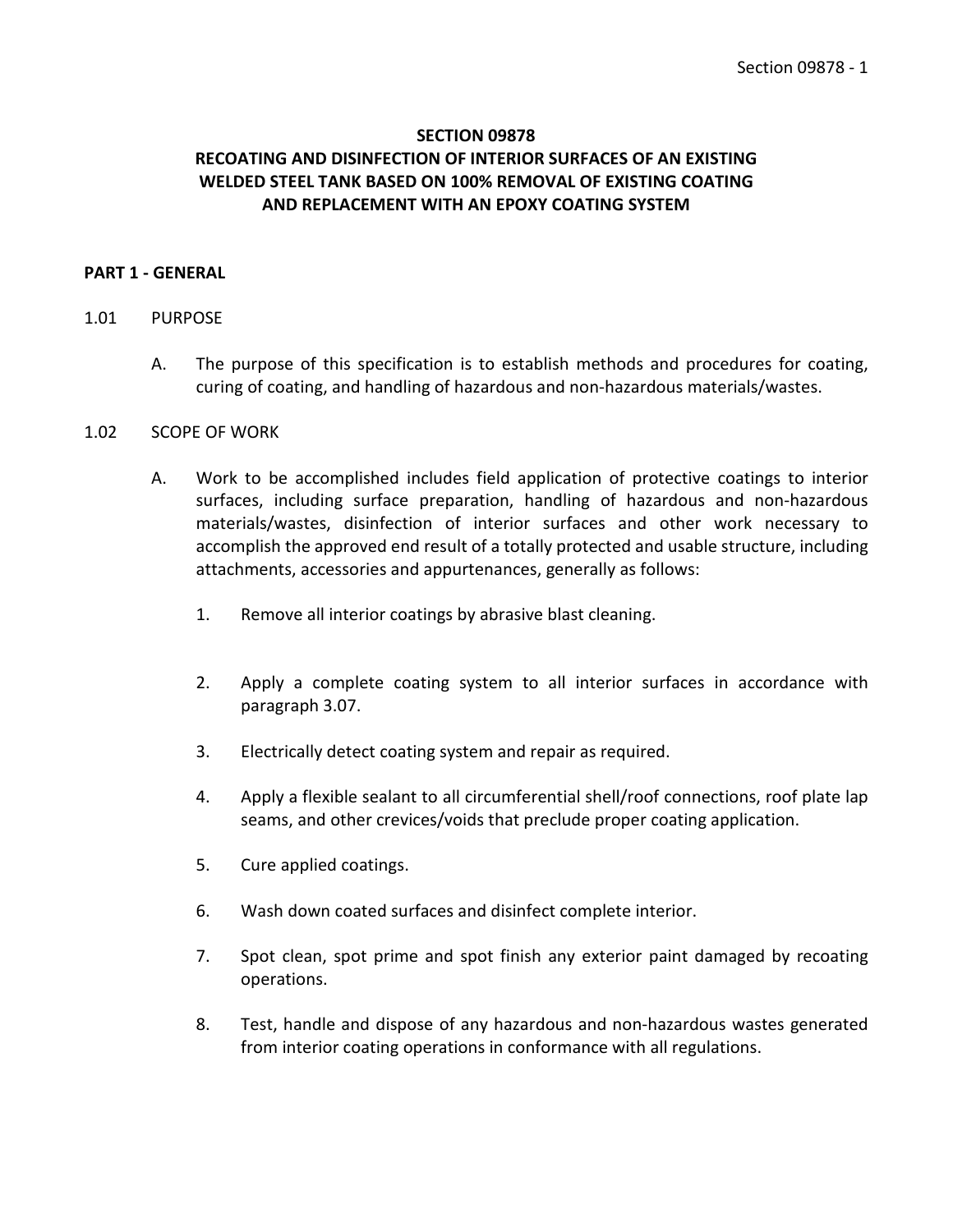# **SECTION 09878 RECOATING AND DISINFECTION OF INTERIOR SURFACES OF AN EXISTING WELDED STEEL TANK BASED ON 100% REMOVAL OF EXISTING COATING AND REPLACEMENT WITH AN EPOXY COATING SYSTEM**

### <span id="page-2-0"></span>**PART 1 - GENERAL**

#### <span id="page-2-1"></span>1.01 PURPOSE

A. The purpose of this specification is to establish methods and procedures for coating, curing of coating, and handling of hazardous and non-hazardous materials/wastes.

#### <span id="page-2-2"></span>1.02 SCOPE OF WORK

- A. Work to be accomplished includes field application of protective coatings to interior surfaces, including surface preparation, handling of hazardous and non-hazardous materials/wastes, disinfection of interior surfaces and other work necessary to accomplish the approved end result of a totally protected and usable structure, including attachments, accessories and appurtenances, generally as follows:
	- 1. Remove all interior coatings by abrasive blast cleaning.
	- 2. Apply a complete coating system to all interior surfaces in accordance with paragraph 3.07.
	- 3. Electrically detect coating system and repair as required.
	- 4. Apply a flexible sealant to all circumferential shell/roof connections, roof plate lap seams, and other crevices/voids that preclude proper coating application.
	- 5. Cure applied coatings.
	- 6. Wash down coated surfaces and disinfect complete interior.
	- 7. Spot clean, spot prime and spot finish any exterior paint damaged by recoating operations.
	- 8. Test, handle and dispose of any hazardous and non-hazardous wastes generated from interior coating operations in conformance with all regulations.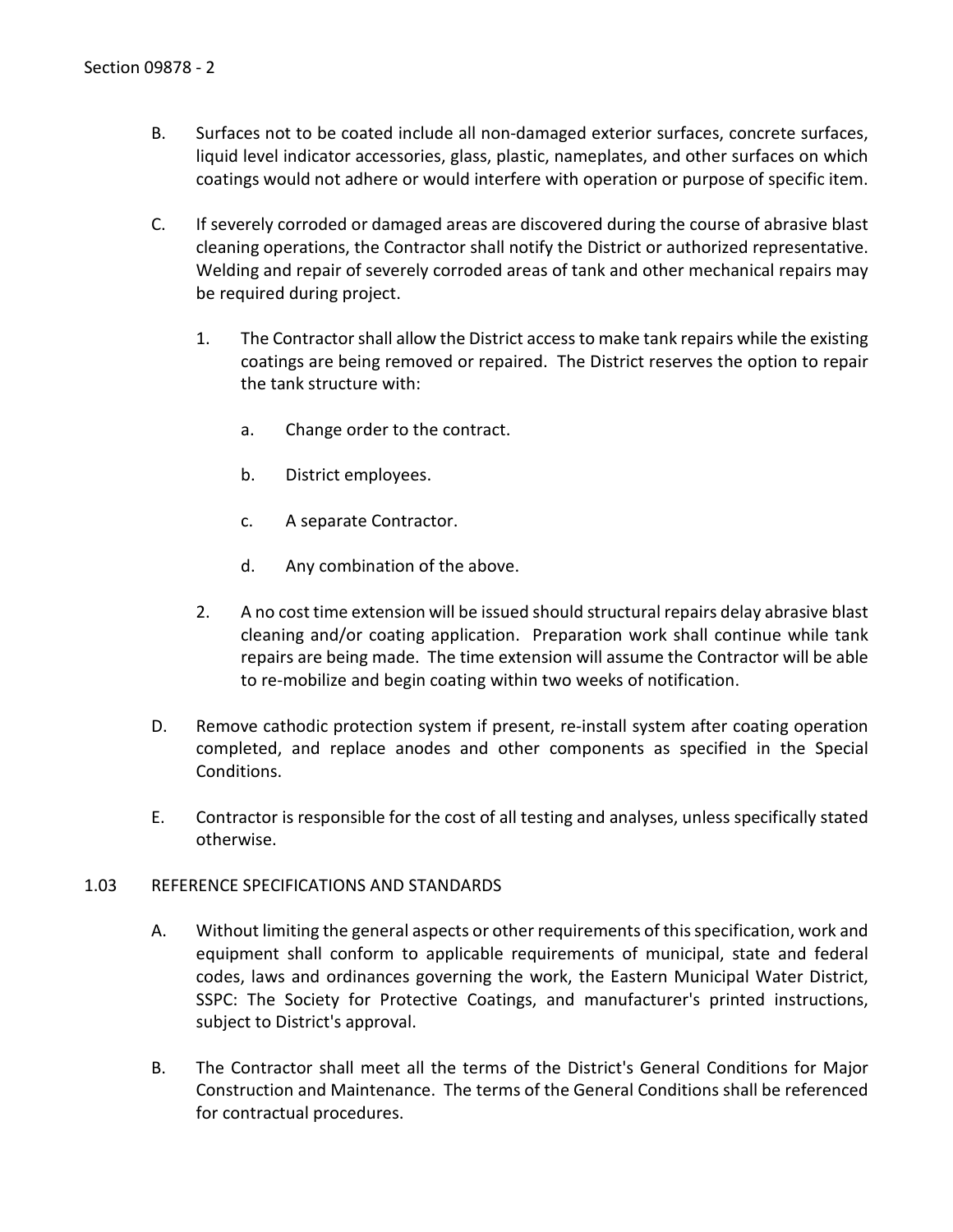- B. Surfaces not to be coated include all non-damaged exterior surfaces, concrete surfaces, liquid level indicator accessories, glass, plastic, nameplates, and other surfaces on which coatings would not adhere or would interfere with operation or purpose of specific item.
- C. If severely corroded or damaged areas are discovered during the course of abrasive blast cleaning operations, the Contractor shall notify the District or authorized representative. Welding and repair of severely corroded areas of tank and other mechanical repairs may be required during project.
	- 1. The Contractor shall allow the District access to make tank repairs while the existing coatings are being removed or repaired. The District reserves the option to repair the tank structure with:
		- a. Change order to the contract.
		- b. District employees.
		- c. A separate Contractor.
		- d. Any combination of the above.
	- 2. A no cost time extension will be issued should structural repairs delay abrasive blast cleaning and/or coating application. Preparation work shall continue while tank repairs are being made. The time extension will assume the Contractor will be able to re-mobilize and begin coating within two weeks of notification.
- D. Remove cathodic protection system if present, re-install system after coating operation completed, and replace anodes and other components as specified in the Special Conditions.
- E. Contractor is responsible for the cost of all testing and analyses, unless specifically stated otherwise.

### <span id="page-3-0"></span>1.03 REFERENCE SPECIFICATIONS AND STANDARDS

- A. Without limiting the general aspects or other requirements of this specification, work and equipment shall conform to applicable requirements of municipal, state and federal codes, laws and ordinances governing the work, the Eastern Municipal Water District, SSPC: The Society for Protective Coatings, and manufacturer's printed instructions, subject to District's approval.
- B. The Contractor shall meet all the terms of the District's General Conditions for Major Construction and Maintenance. The terms of the General Conditions shall be referenced for contractual procedures.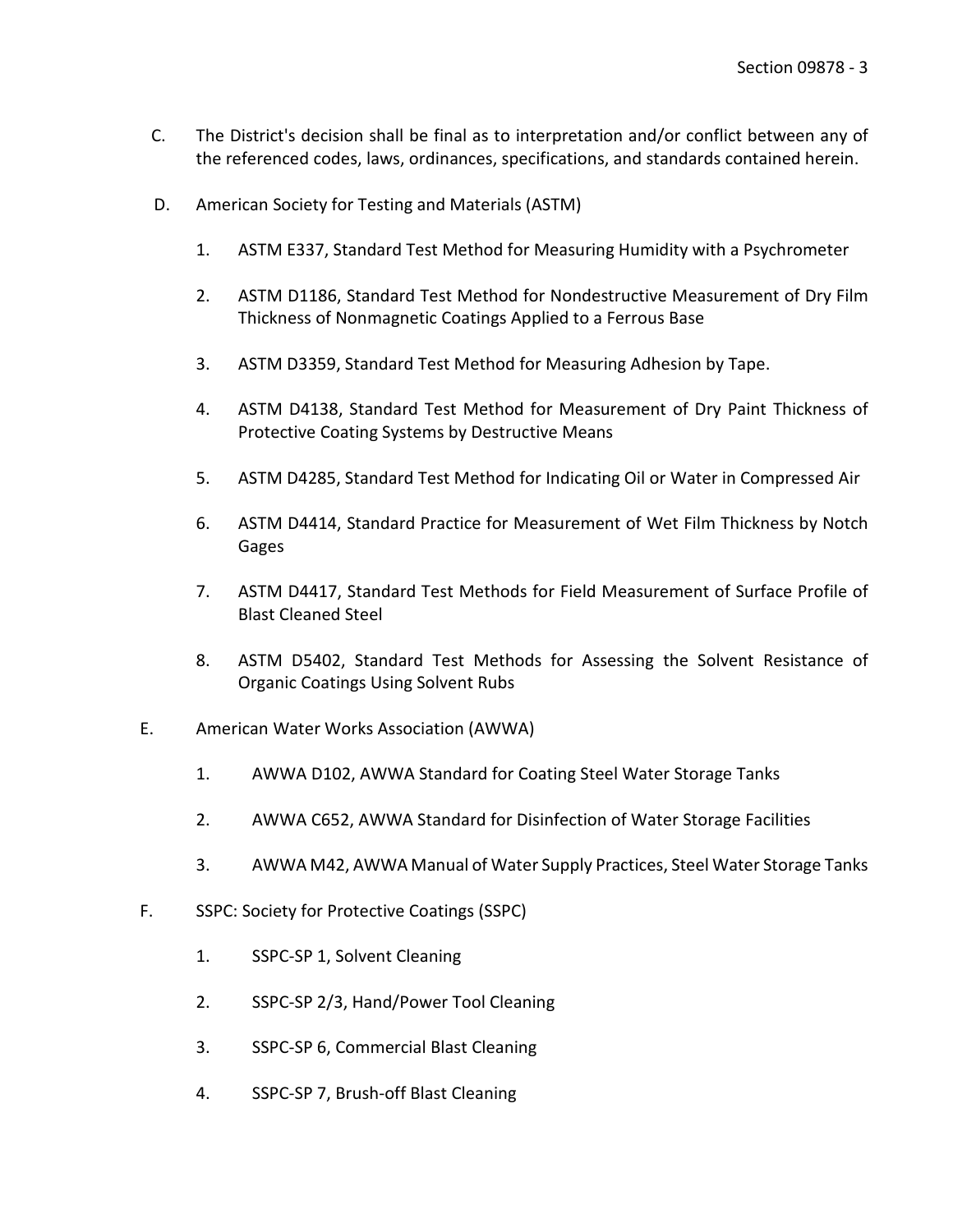- C. The District's decision shall be final as to interpretation and/or conflict between any of the referenced codes, laws, ordinances, specifications, and standards contained herein.
- D. American Society for Testing and Materials (ASTM)
	- 1. ASTM E337, Standard Test Method for Measuring Humidity with a Psychrometer
	- 2. ASTM D1186, Standard Test Method for Nondestructive Measurement of Dry Film Thickness of Nonmagnetic Coatings Applied to a Ferrous Base
	- 3. ASTM D3359, Standard Test Method for Measuring Adhesion by Tape.
	- 4. ASTM D4138, Standard Test Method for Measurement of Dry Paint Thickness of Protective Coating Systems by Destructive Means
	- 5. ASTM D4285, Standard Test Method for Indicating Oil or Water in Compressed Air
	- 6. ASTM D4414, Standard Practice for Measurement of Wet Film Thickness by Notch Gages
	- 7. ASTM D4417, Standard Test Methods for Field Measurement of Surface Profile of Blast Cleaned Steel
	- 8. ASTM D5402, Standard Test Methods for Assessing the Solvent Resistance of Organic Coatings Using Solvent Rubs
- E. American Water Works Association (AWWA)
	- 1. AWWA D102, AWWA Standard for Coating Steel Water Storage Tanks
	- 2. AWWA C652, AWWA Standard for Disinfection of Water Storage Facilities
	- 3. AWWA M42, AWWA Manual of Water Supply Practices, Steel Water Storage Tanks
- F. SSPC: Society for Protective Coatings (SSPC)
	- 1. SSPC-SP 1, Solvent Cleaning
	- 2. SSPC-SP 2/3, Hand/Power Tool Cleaning
	- 3. SSPC-SP 6, Commercial Blast Cleaning
	- 4. SSPC-SP 7, Brush-off Blast Cleaning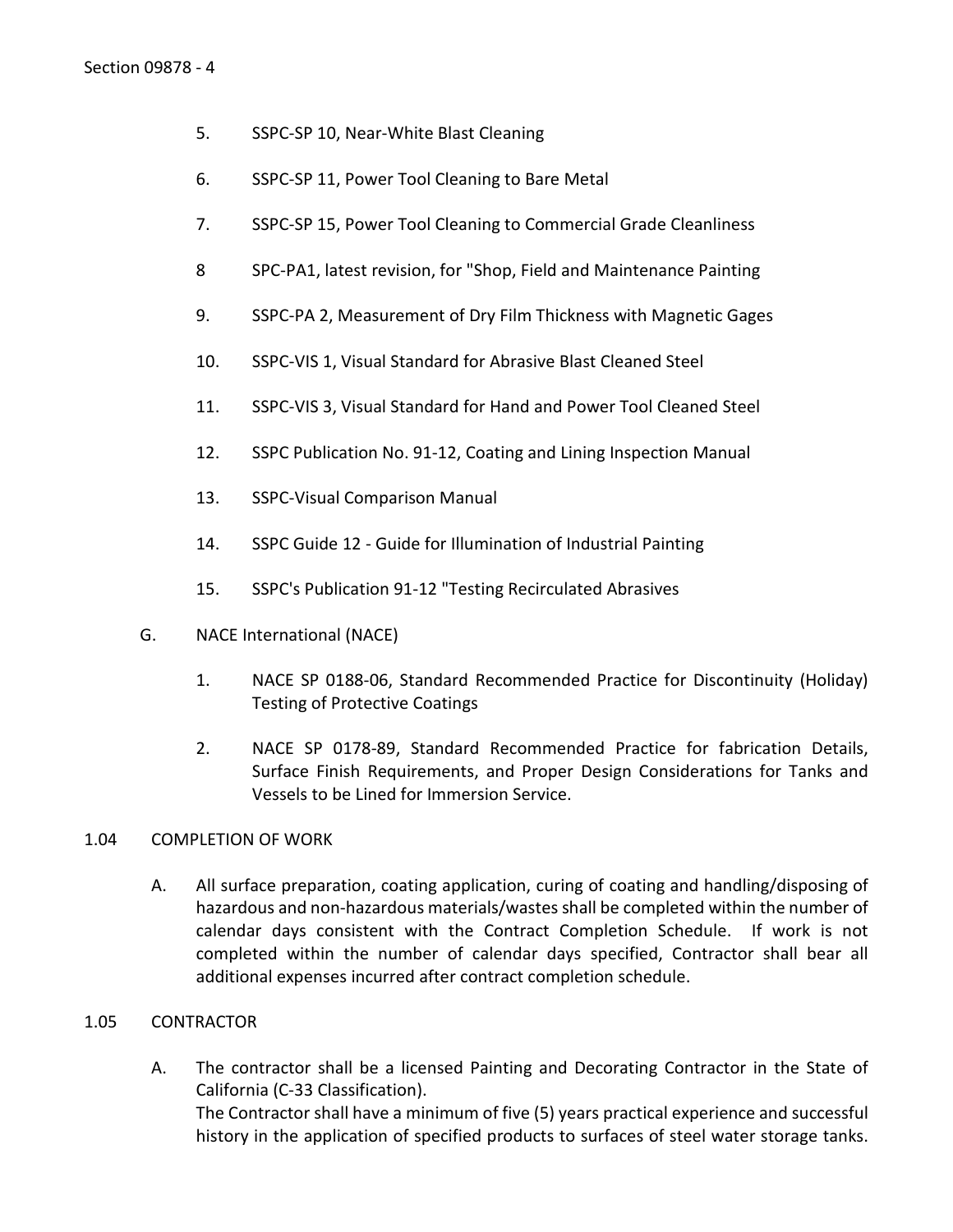- 5. SSPC-SP 10, Near-White Blast Cleaning
- 6. SSPC-SP 11, Power Tool Cleaning to Bare Metal
- 7. SSPC-SP 15, Power Tool Cleaning to Commercial Grade Cleanliness
- 8 SPC-PA1, latest revision, for "Shop, Field and Maintenance Painting
- 9. SSPC-PA 2, Measurement of Dry Film Thickness with Magnetic Gages
- 10. SSPC-VIS 1, Visual Standard for Abrasive Blast Cleaned Steel
- 11. SSPC-VIS 3, Visual Standard for Hand and Power Tool Cleaned Steel
- 12. SSPC Publication No. 91-12, Coating and Lining Inspection Manual
- 13. SSPC-Visual Comparison Manual
- 14. SSPC Guide 12 Guide for Illumination of Industrial Painting
- 15. SSPC's Publication 91-12 "Testing Recirculated Abrasives
- G. NACE International (NACE)
	- 1. NACE SP 0188-06, Standard Recommended Practice for Discontinuity (Holiday) Testing of Protective Coatings
	- 2. NACE SP 0178-89, Standard Recommended Practice for fabrication Details, Surface Finish Requirements, and Proper Design Considerations for Tanks and Vessels to be Lined for Immersion Service.

### <span id="page-5-0"></span>1.04 COMPLETION OF WORK

A. All surface preparation, coating application, curing of coating and handling/disposing of hazardous and non-hazardous materials/wastes shall be completed within the number of calendar days consistent with the Contract Completion Schedule. If work is not completed within the number of calendar days specified, Contractor shall bear all additional expenses incurred after contract completion schedule.

### <span id="page-5-1"></span>1.05 CONTRACTOR

A. The contractor shall be a licensed Painting and Decorating Contractor in the State of California (C-33 Classification). The Contractor shall have a minimum of five (5) years practical experience and successful history in the application of specified products to surfaces of steel water storage tanks.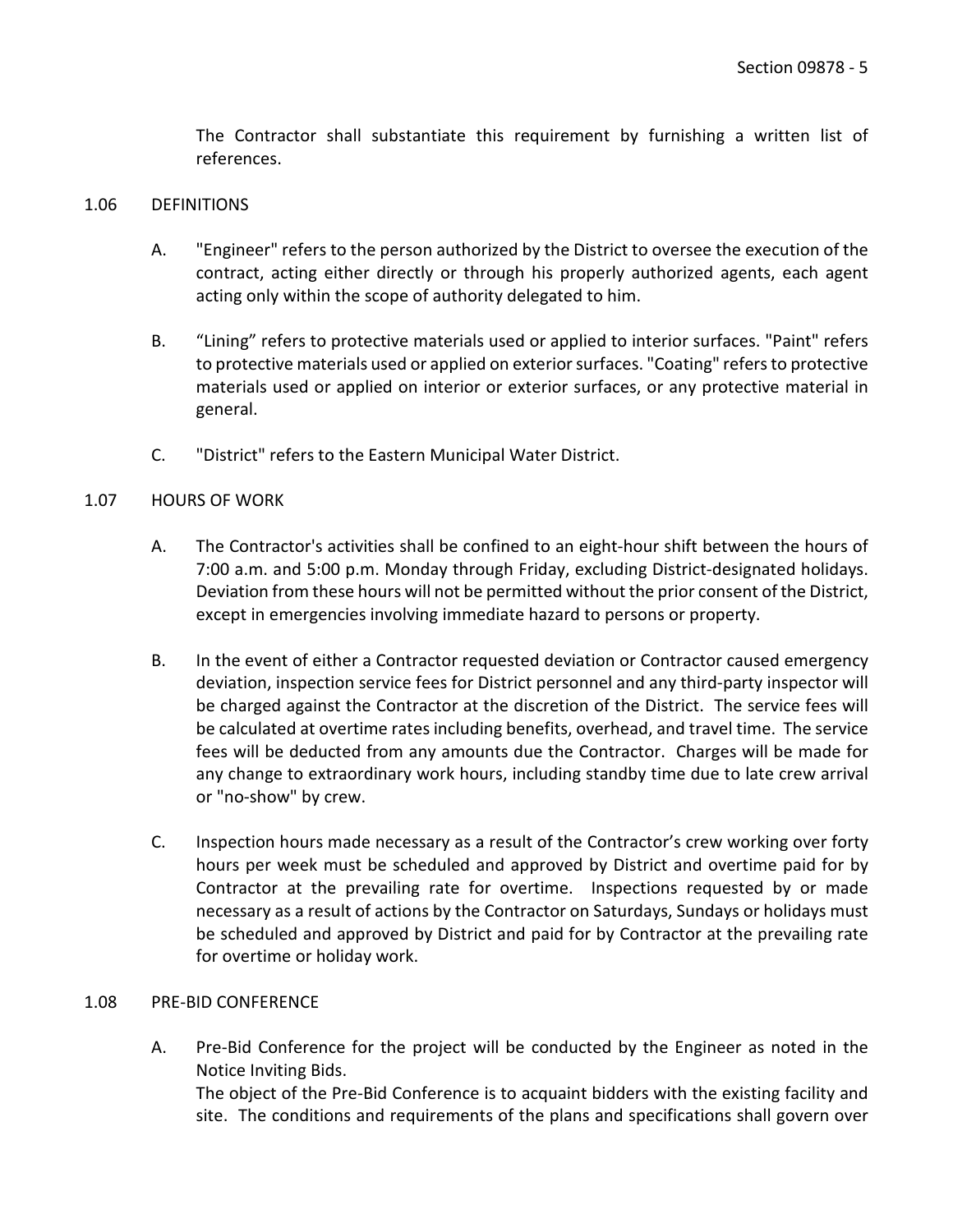The Contractor shall substantiate this requirement by furnishing a written list of references.

#### <span id="page-6-0"></span>1.06 DEFINITIONS

- A. "Engineer" refers to the person authorized by the District to oversee the execution of the contract, acting either directly or through his properly authorized agents, each agent acting only within the scope of authority delegated to him.
- B. "Lining" refers to protective materials used or applied to interior surfaces. "Paint" refers to protective materials used or applied on exterior surfaces. "Coating" refers to protective materials used or applied on interior or exterior surfaces, or any protective material in general.
- C. "District" refers to the Eastern Municipal Water District.

#### <span id="page-6-1"></span>1.07 HOURS OF WORK

- A. The Contractor's activities shall be confined to an eight-hour shift between the hours of 7:00 a.m. and 5:00 p.m. Monday through Friday, excluding District-designated holidays. Deviation from these hours will not be permitted without the prior consent of the District, except in emergencies involving immediate hazard to persons or property.
- B. In the event of either a Contractor requested deviation or Contractor caused emergency deviation, inspection service fees for District personnel and any third-party inspector will be charged against the Contractor at the discretion of the District. The service fees will be calculated at overtime rates including benefits, overhead, and travel time. The service fees will be deducted from any amounts due the Contractor. Charges will be made for any change to extraordinary work hours, including standby time due to late crew arrival or "no-show" by crew.
- C. Inspection hours made necessary as a result of the Contractor's crew working over forty hours per week must be scheduled and approved by District and overtime paid for by Contractor at the prevailing rate for overtime. Inspections requested by or made necessary as a result of actions by the Contractor on Saturdays, Sundays or holidays must be scheduled and approved by District and paid for by Contractor at the prevailing rate for overtime or holiday work.

#### <span id="page-6-2"></span>1.08 PRE-BID CONFERENCE

A. Pre-Bid Conference for the project will be conducted by the Engineer as noted in the Notice Inviting Bids. The object of the Pre-Bid Conference is to acquaint bidders with the existing facility and site. The conditions and requirements of the plans and specifications shall govern over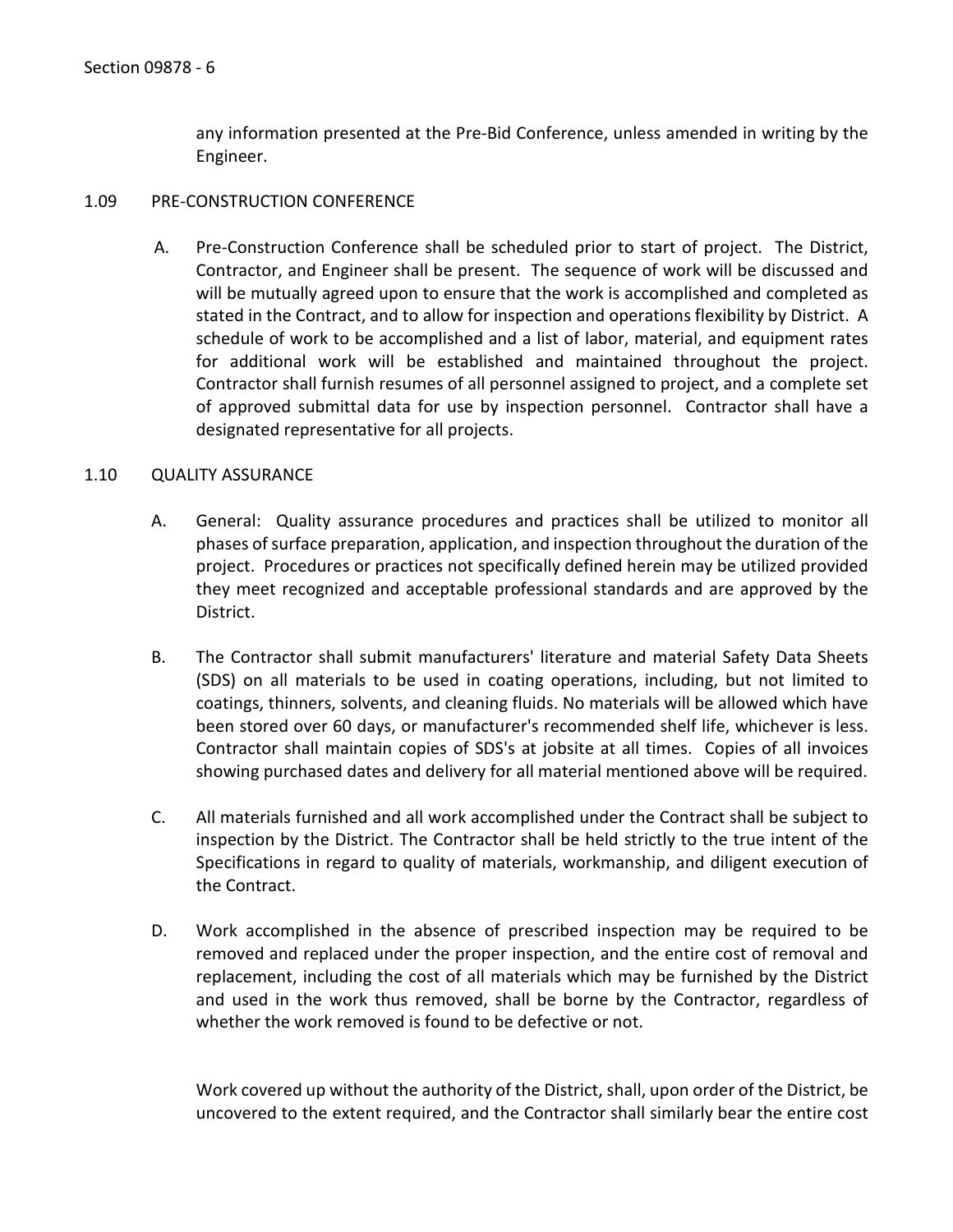any information presented at the Pre-Bid Conference, unless amended in writing by the Engineer.

#### <span id="page-7-0"></span>1.09 PRE-CONSTRUCTION CONFERENCE

A. Pre-Construction Conference shall be scheduled prior to start of project. The District, Contractor, and Engineer shall be present. The sequence of work will be discussed and will be mutually agreed upon to ensure that the work is accomplished and completed as stated in the Contract, and to allow for inspection and operations flexibility by District. A schedule of work to be accomplished and a list of labor, material, and equipment rates for additional work will be established and maintained throughout the project. Contractor shall furnish resumes of all personnel assigned to project, and a complete set of approved submittal data for use by inspection personnel. Contractor shall have a designated representative for all projects.

#### <span id="page-7-1"></span>1.10 QUALITY ASSURANCE

- A. General: Quality assurance procedures and practices shall be utilized to monitor all phases of surface preparation, application, and inspection throughout the duration of the project. Procedures or practices not specifically defined herein may be utilized provided they meet recognized and acceptable professional standards and are approved by the District.
- B. The Contractor shall submit manufacturers' literature and material Safety Data Sheets (SDS) on all materials to be used in coating operations, including, but not limited to coatings, thinners, solvents, and cleaning fluids. No materials will be allowed which have been stored over 60 days, or manufacturer's recommended shelf life, whichever is less. Contractor shall maintain copies of SDS's at jobsite at all times. Copies of all invoices showing purchased dates and delivery for all material mentioned above will be required.
- C. All materials furnished and all work accomplished under the Contract shall be subject to inspection by the District. The Contractor shall be held strictly to the true intent of the Specifications in regard to quality of materials, workmanship, and diligent execution of the Contract.
- D. Work accomplished in the absence of prescribed inspection may be required to be removed and replaced under the proper inspection, and the entire cost of removal and replacement, including the cost of all materials which may be furnished by the District and used in the work thus removed, shall be borne by the Contractor, regardless of whether the work removed is found to be defective or not.

Work covered up without the authority of the District, shall, upon order of the District, be uncovered to the extent required, and the Contractor shall similarly bear the entire cost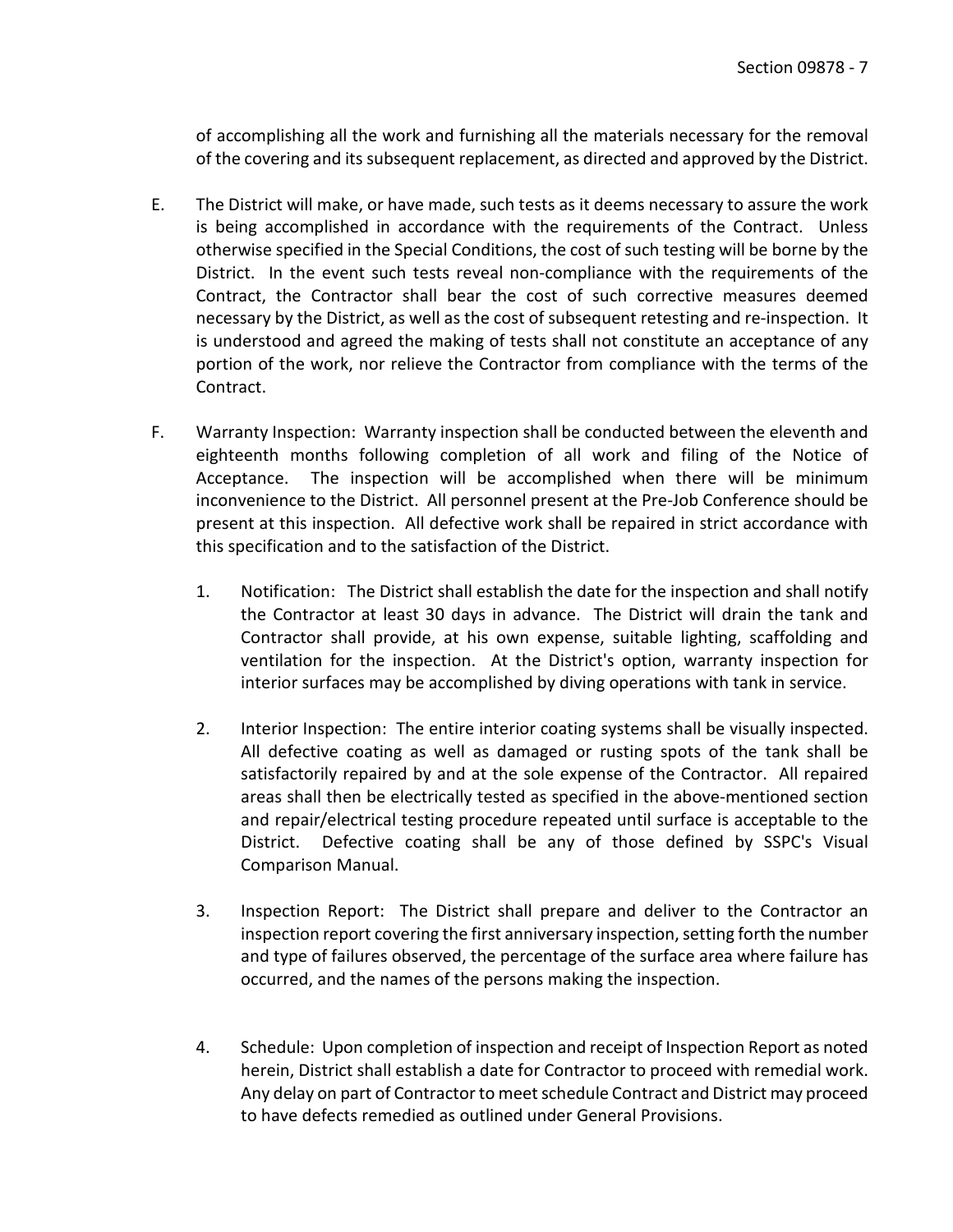of accomplishing all the work and furnishing all the materials necessary for the removal of the covering and its subsequent replacement, as directed and approved by the District.

- E. The District will make, or have made, such tests as it deems necessary to assure the work is being accomplished in accordance with the requirements of the Contract. Unless otherwise specified in the Special Conditions, the cost of such testing will be borne by the District. In the event such tests reveal non-compliance with the requirements of the Contract, the Contractor shall bear the cost of such corrective measures deemed necessary by the District, as well as the cost of subsequent retesting and re-inspection. It is understood and agreed the making of tests shall not constitute an acceptance of any portion of the work, nor relieve the Contractor from compliance with the terms of the Contract.
- F. Warranty Inspection: Warranty inspection shall be conducted between the eleventh and eighteenth months following completion of all work and filing of the Notice of Acceptance. The inspection will be accomplished when there will be minimum inconvenience to the District. All personnel present at the Pre-Job Conference should be present at this inspection. All defective work shall be repaired in strict accordance with this specification and to the satisfaction of the District.
	- 1. Notification: The District shall establish the date for the inspection and shall notify the Contractor at least 30 days in advance. The District will drain the tank and Contractor shall provide, at his own expense, suitable lighting, scaffolding and ventilation for the inspection. At the District's option, warranty inspection for interior surfaces may be accomplished by diving operations with tank in service.
	- 2. Interior Inspection: The entire interior coating systems shall be visually inspected. All defective coating as well as damaged or rusting spots of the tank shall be satisfactorily repaired by and at the sole expense of the Contractor. All repaired areas shall then be electrically tested as specified in the above-mentioned section and repair/electrical testing procedure repeated until surface is acceptable to the District. Defective coating shall be any of those defined by SSPC's Visual Comparison Manual.
	- 3. Inspection Report: The District shall prepare and deliver to the Contractor an inspection report covering the first anniversary inspection, setting forth the number and type of failures observed, the percentage of the surface area where failure has occurred, and the names of the persons making the inspection.
	- 4. Schedule: Upon completion of inspection and receipt of Inspection Report as noted herein, District shall establish a date for Contractor to proceed with remedial work. Any delay on part of Contractor to meet schedule Contract and District may proceed to have defects remedied as outlined under General Provisions.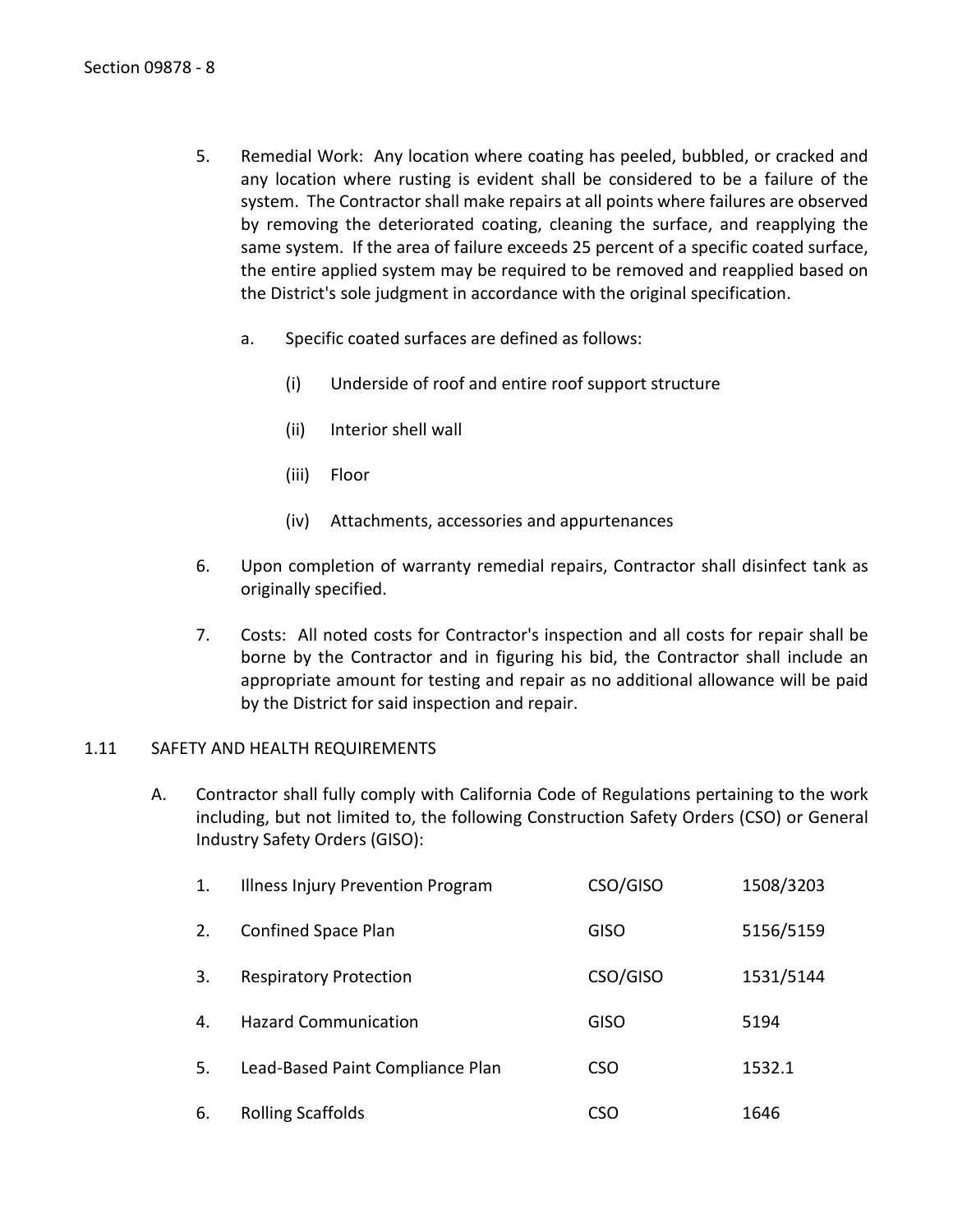- 5. Remedial Work: Any location where coating has peeled, bubbled, or cracked and any location where rusting is evident shall be considered to be a failure of the system. The Contractor shall make repairs at all points where failures are observed by removing the deteriorated coating, cleaning the surface, and reapplying the same system. If the area of failure exceeds 25 percent of a specific coated surface, the entire applied system may be required to be removed and reapplied based on the District's sole judgment in accordance with the original specification.
	- a. Specific coated surfaces are defined as follows:
		- (i) Underside of roof and entire roof support structure
		- (ii) Interior shell wall
		- (iii) Floor
		- (iv) Attachments, accessories and appurtenances
- 6. Upon completion of warranty remedial repairs, Contractor shall disinfect tank as originally specified.
- 7. Costs: All noted costs for Contractor's inspection and all costs for repair shall be borne by the Contractor and in figuring his bid, the Contractor shall include an appropriate amount for testing and repair as no additional allowance will be paid by the District for said inspection and repair.

#### <span id="page-9-0"></span>1.11 SAFETY AND HEALTH REQUIREMENTS

A. Contractor shall fully comply with California Code of Regulations pertaining to the work including, but not limited to, the following Construction Safety Orders (CSO) or General Industry Safety Orders (GISO):

| 1. | Illness Injury Prevention Program | CSO/GISO    | 1508/3203 |
|----|-----------------------------------|-------------|-----------|
| 2. | Confined Space Plan               | <b>GISO</b> | 5156/5159 |
| 3. | <b>Respiratory Protection</b>     | CSO/GISO    | 1531/5144 |
| 4. | <b>Hazard Communication</b>       | <b>GISO</b> | 5194      |
| 5. | Lead-Based Paint Compliance Plan  | <b>CSO</b>  | 1532.1    |
| 6. | <b>Rolling Scaffolds</b>          | CSO         | 1646      |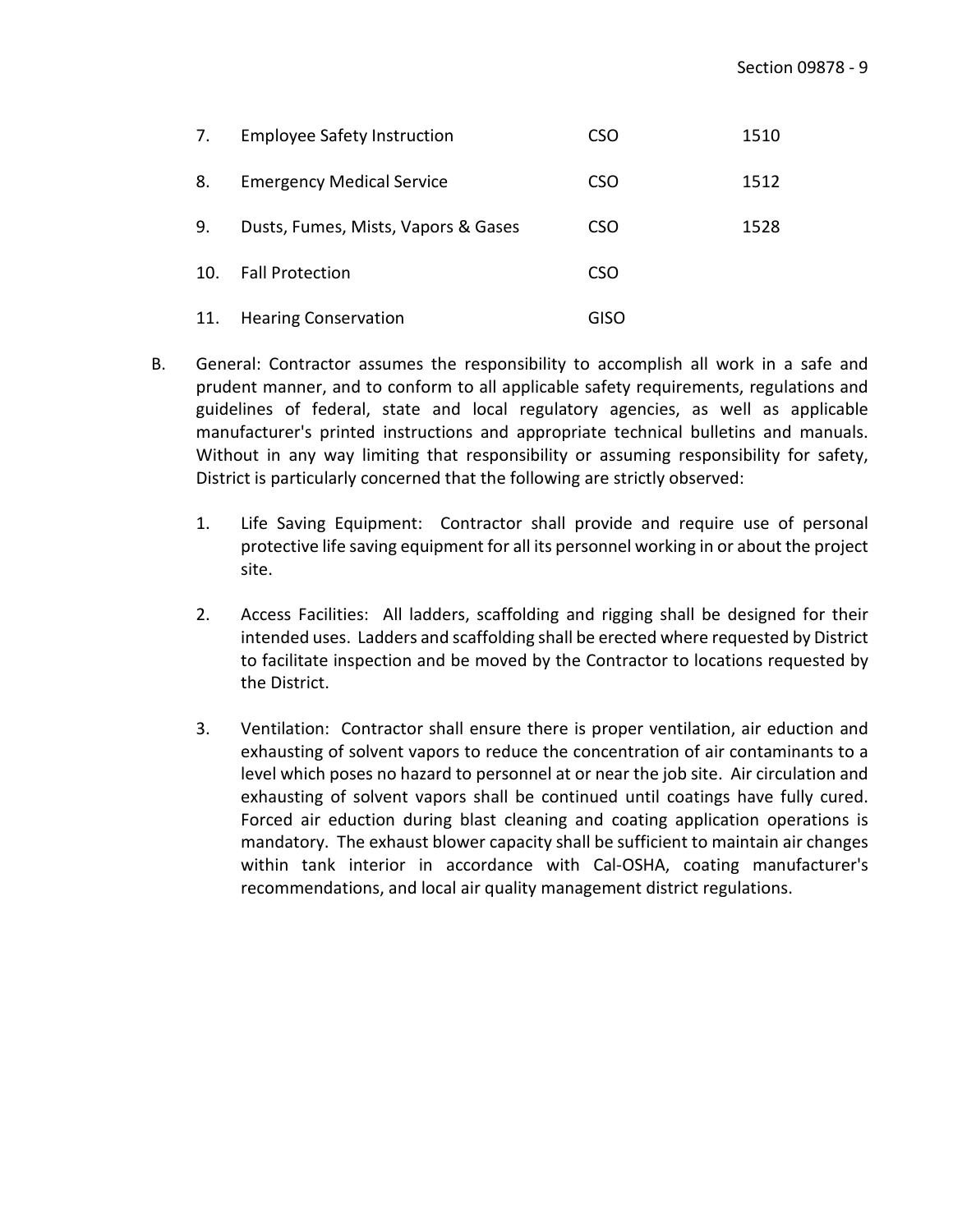| 7.  | <b>Employee Safety Instruction</b>  | CSO         | 1510 |
|-----|-------------------------------------|-------------|------|
| 8.  | <b>Emergency Medical Service</b>    | <b>CSO</b>  | 1512 |
| 9.  | Dusts, Fumes, Mists, Vapors & Gases | <b>CSO</b>  | 1528 |
| 10. | <b>Fall Protection</b>              | <b>CSO</b>  |      |
| 11. | <b>Hearing Conservation</b>         | <b>GISO</b> |      |

- B. General: Contractor assumes the responsibility to accomplish all work in a safe and prudent manner, and to conform to all applicable safety requirements, regulations and guidelines of federal, state and local regulatory agencies, as well as applicable manufacturer's printed instructions and appropriate technical bulletins and manuals. Without in any way limiting that responsibility or assuming responsibility for safety, District is particularly concerned that the following are strictly observed:
	- 1. Life Saving Equipment: Contractor shall provide and require use of personal protective life saving equipment for all its personnel working in or about the project site.
	- 2. Access Facilities: All ladders, scaffolding and rigging shall be designed for their intended uses. Ladders and scaffolding shall be erected where requested by District to facilitate inspection and be moved by the Contractor to locations requested by the District.
	- 3. Ventilation: Contractor shall ensure there is proper ventilation, air eduction and exhausting of solvent vapors to reduce the concentration of air contaminants to a level which poses no hazard to personnel at or near the job site. Air circulation and exhausting of solvent vapors shall be continued until coatings have fully cured. Forced air eduction during blast cleaning and coating application operations is mandatory. The exhaust blower capacity shall be sufficient to maintain air changes within tank interior in accordance with Cal-OSHA, coating manufacturer's recommendations, and local air quality management district regulations.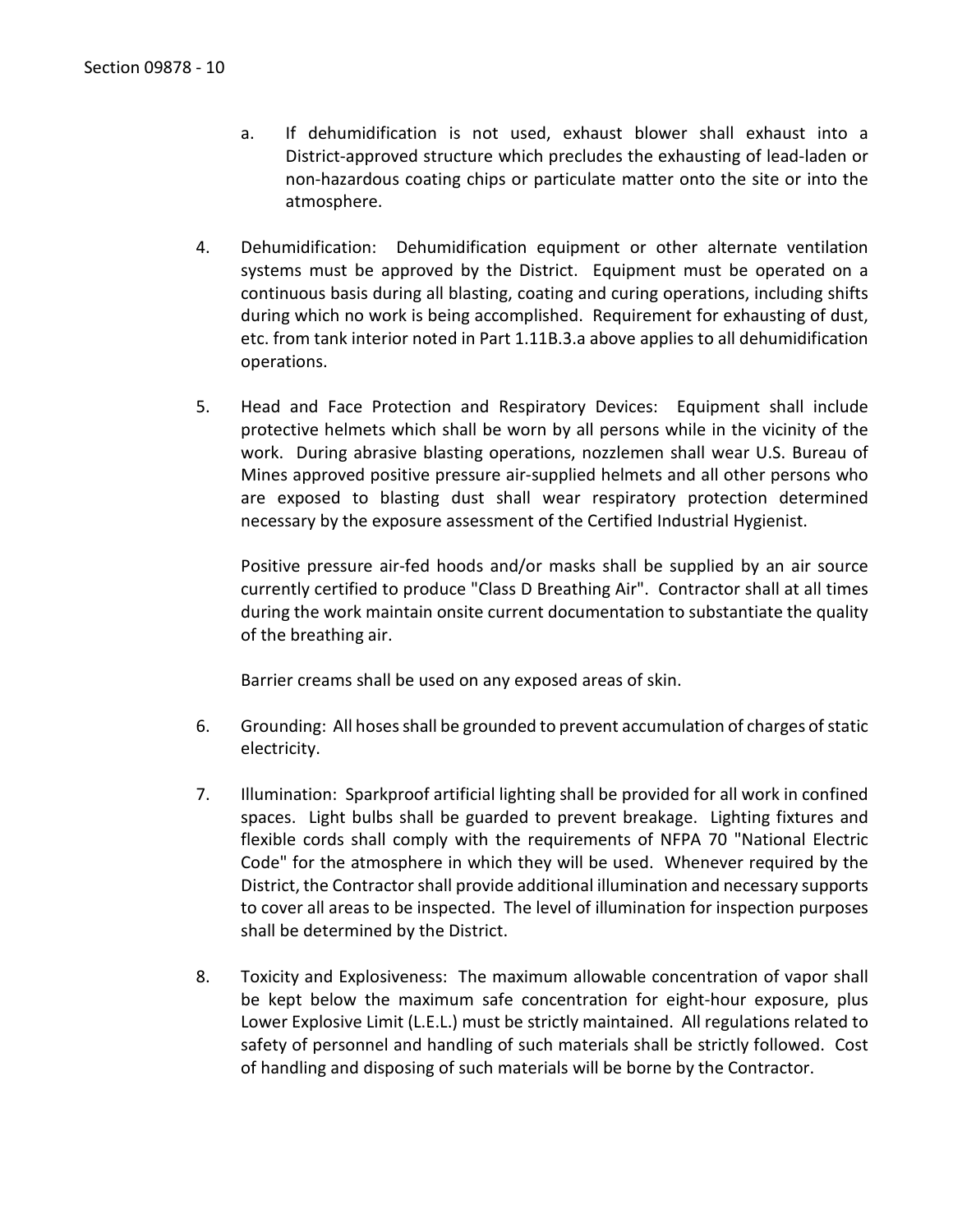- a. If dehumidification is not used, exhaust blower shall exhaust into a District-approved structure which precludes the exhausting of lead-laden or non-hazardous coating chips or particulate matter onto the site or into the atmosphere.
- 4. Dehumidification: Dehumidification equipment or other alternate ventilation systems must be approved by the District. Equipment must be operated on a continuous basis during all blasting, coating and curing operations, including shifts during which no work is being accomplished. Requirement for exhausting of dust, etc. from tank interior noted in Part 1.11B.3.a above applies to all dehumidification operations.
- 5. Head and Face Protection and Respiratory Devices: Equipment shall include protective helmets which shall be worn by all persons while in the vicinity of the work. During abrasive blasting operations, nozzlemen shall wear U.S. Bureau of Mines approved positive pressure air-supplied helmets and all other persons who are exposed to blasting dust shall wear respiratory protection determined necessary by the exposure assessment of the Certified Industrial Hygienist.

Positive pressure air-fed hoods and/or masks shall be supplied by an air source currently certified to produce "Class D Breathing Air". Contractor shall at all times during the work maintain onsite current documentation to substantiate the quality of the breathing air.

Barrier creams shall be used on any exposed areas of skin.

- 6. Grounding: All hoses shall be grounded to prevent accumulation of charges of static electricity.
- 7. Illumination: Sparkproof artificial lighting shall be provided for all work in confined spaces. Light bulbs shall be guarded to prevent breakage. Lighting fixtures and flexible cords shall comply with the requirements of NFPA 70 "National Electric Code" for the atmosphere in which they will be used. Whenever required by the District, the Contractor shall provide additional illumination and necessary supports to cover all areas to be inspected. The level of illumination for inspection purposes shall be determined by the District.
- 8. Toxicity and Explosiveness: The maximum allowable concentration of vapor shall be kept below the maximum safe concentration for eight-hour exposure, plus Lower Explosive Limit (L.E.L.) must be strictly maintained. All regulations related to safety of personnel and handling of such materials shall be strictly followed. Cost of handling and disposing of such materials will be borne by the Contractor.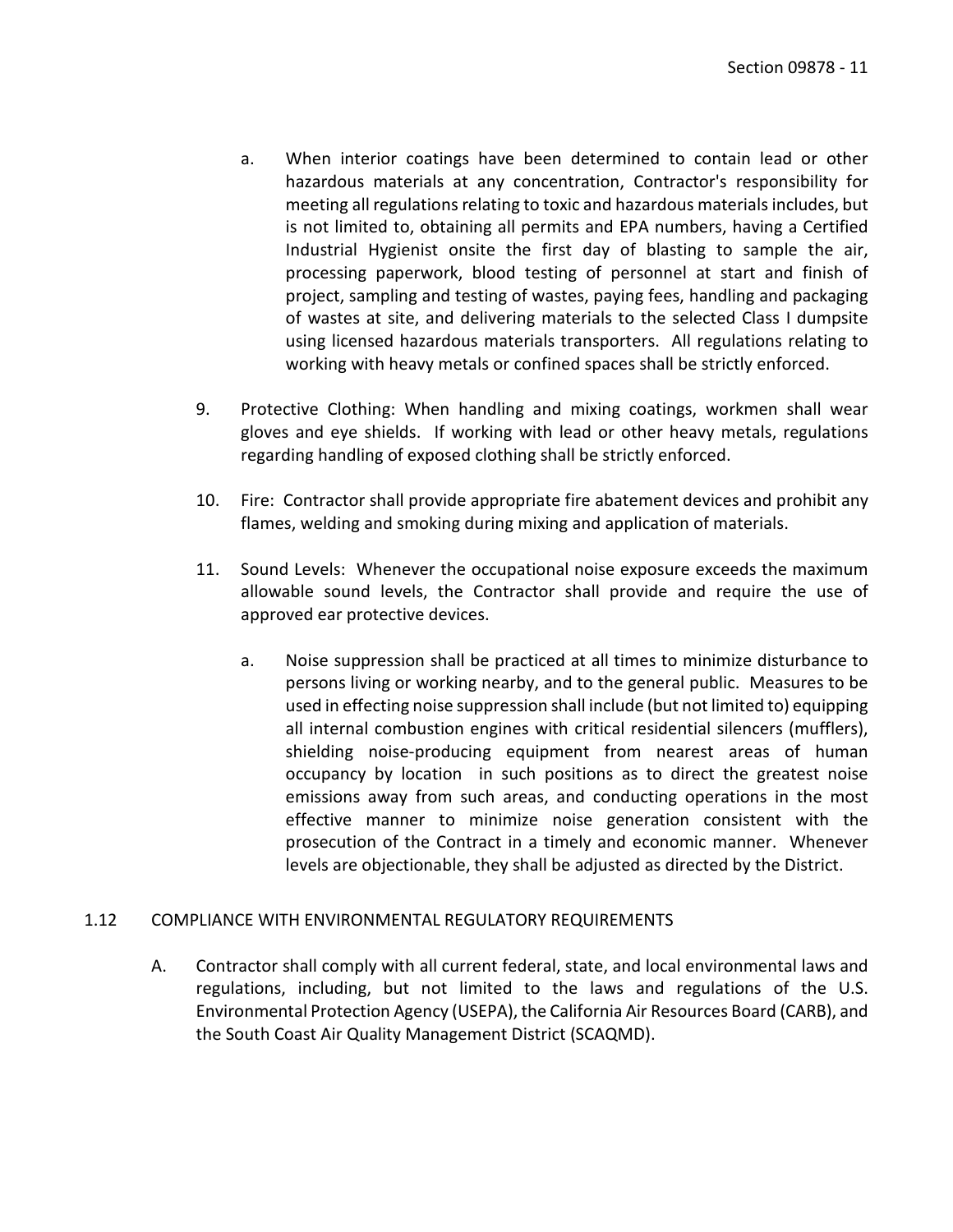- a. When interior coatings have been determined to contain lead or other hazardous materials at any concentration, Contractor's responsibility for meeting all regulations relating to toxic and hazardous materials includes, but is not limited to, obtaining all permits and EPA numbers, having a Certified Industrial Hygienist onsite the first day of blasting to sample the air, processing paperwork, blood testing of personnel at start and finish of project, sampling and testing of wastes, paying fees, handling and packaging of wastes at site, and delivering materials to the selected Class I dumpsite using licensed hazardous materials transporters. All regulations relating to working with heavy metals or confined spaces shall be strictly enforced.
- 9. Protective Clothing: When handling and mixing coatings, workmen shall wear gloves and eye shields. If working with lead or other heavy metals, regulations regarding handling of exposed clothing shall be strictly enforced.
- 10. Fire: Contractor shall provide appropriate fire abatement devices and prohibit any flames, welding and smoking during mixing and application of materials.
- 11. Sound Levels: Whenever the occupational noise exposure exceeds the maximum allowable sound levels, the Contractor shall provide and require the use of approved ear protective devices.
	- a. Noise suppression shall be practiced at all times to minimize disturbance to persons living or working nearby, and to the general public. Measures to be used in effecting noise suppression shall include (but not limited to) equipping all internal combustion engines with critical residential silencers (mufflers), shielding noise-producing equipment from nearest areas of human occupancy by location in such positions as to direct the greatest noise emissions away from such areas, and conducting operations in the most effective manner to minimize noise generation consistent with the prosecution of the Contract in a timely and economic manner. Whenever levels are objectionable, they shall be adjusted as directed by the District.

### <span id="page-12-0"></span>1.12 COMPLIANCE WITH ENVIRONMENTAL REGULATORY REQUIREMENTS

A. Contractor shall comply with all current federal, state, and local environmental laws and regulations, including, but not limited to the laws and regulations of the U.S. Environmental Protection Agency (USEPA), the California Air Resources Board (CARB), and the South Coast Air Quality Management District (SCAQMD).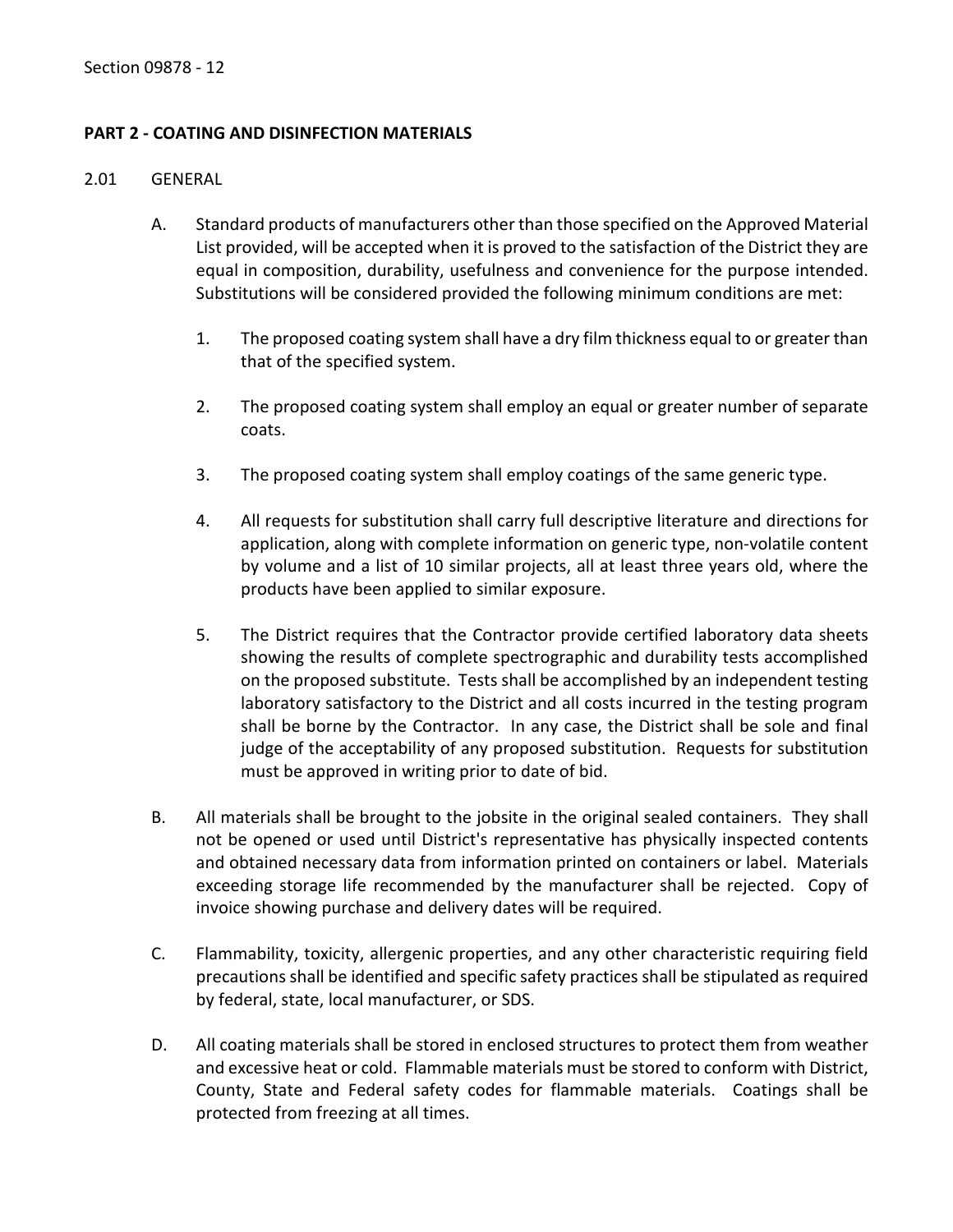## <span id="page-13-0"></span>**PART 2 - COATING AND DISINFECTION MATERIALS**

#### <span id="page-13-1"></span>2.01 GENERAL

- A. Standard products of manufacturers other than those specified on the Approved Material List provided, will be accepted when it is proved to the satisfaction of the District they are equal in composition, durability, usefulness and convenience for the purpose intended. Substitutions will be considered provided the following minimum conditions are met:
	- 1. The proposed coating system shall have a dry film thickness equal to or greater than that of the specified system.
	- 2. The proposed coating system shall employ an equal or greater number of separate coats.
	- 3. The proposed coating system shall employ coatings of the same generic type.
	- 4. All requests for substitution shall carry full descriptive literature and directions for application, along with complete information on generic type, non-volatile content by volume and a list of 10 similar projects, all at least three years old, where the products have been applied to similar exposure.
	- 5. The District requires that the Contractor provide certified laboratory data sheets showing the results of complete spectrographic and durability tests accomplished on the proposed substitute. Tests shall be accomplished by an independent testing laboratory satisfactory to the District and all costs incurred in the testing program shall be borne by the Contractor. In any case, the District shall be sole and final judge of the acceptability of any proposed substitution. Requests for substitution must be approved in writing prior to date of bid.
- B. All materials shall be brought to the jobsite in the original sealed containers. They shall not be opened or used until District's representative has physically inspected contents and obtained necessary data from information printed on containers or label. Materials exceeding storage life recommended by the manufacturer shall be rejected. Copy of invoice showing purchase and delivery dates will be required.
- C. Flammability, toxicity, allergenic properties, and any other characteristic requiring field precautions shall be identified and specific safety practices shall be stipulated as required by federal, state, local manufacturer, or SDS.
- D. All coating materials shall be stored in enclosed structures to protect them from weather and excessive heat or cold. Flammable materials must be stored to conform with District, County, State and Federal safety codes for flammable materials. Coatings shall be protected from freezing at all times.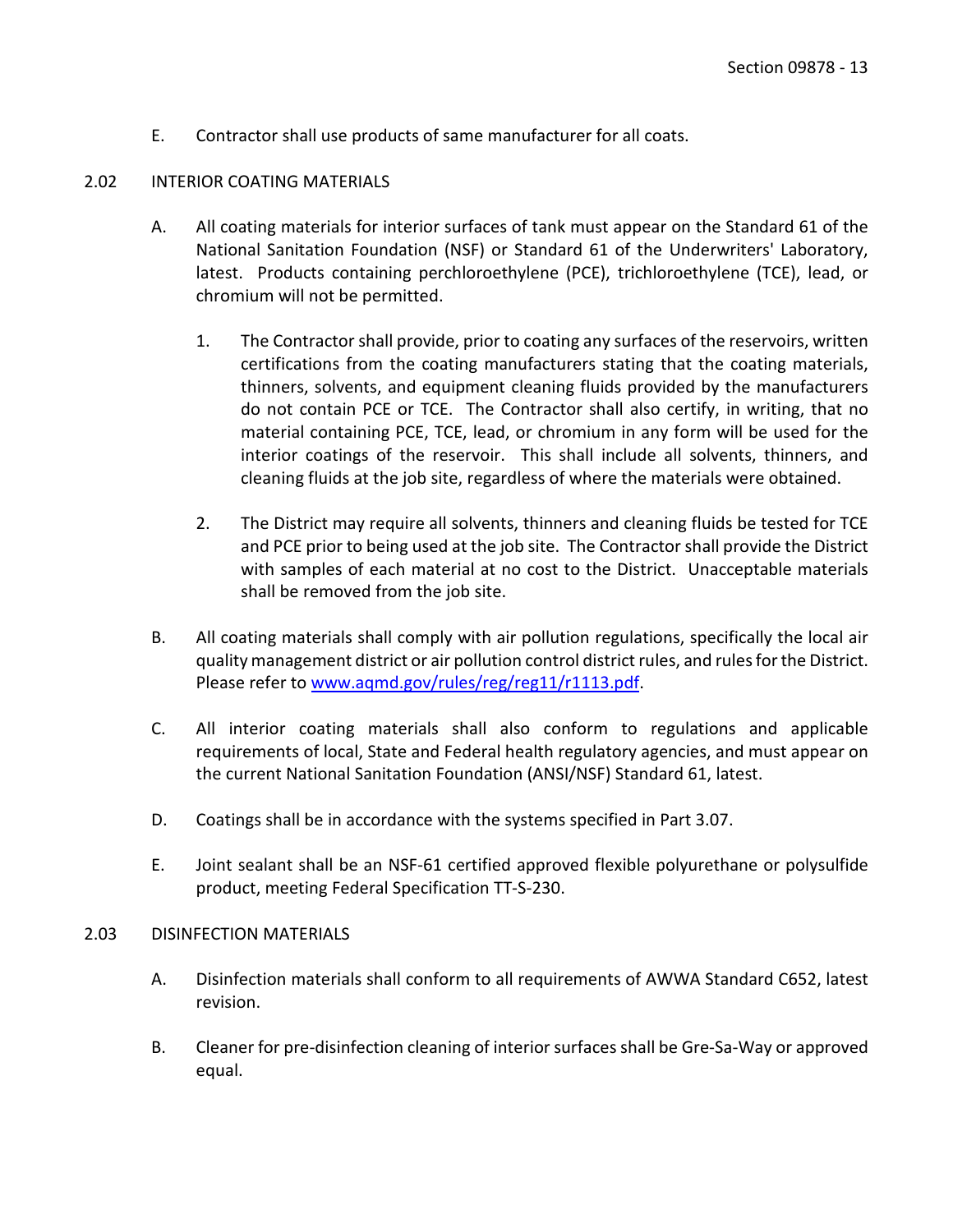E. Contractor shall use products of same manufacturer for all coats.

### <span id="page-14-0"></span>2.02 INTERIOR COATING MATERIALS

- A. All coating materials for interior surfaces of tank must appear on the Standard 61 of the National Sanitation Foundation (NSF) or Standard 61 of the Underwriters' Laboratory, latest. Products containing perchloroethylene (PCE), trichloroethylene (TCE), lead, or chromium will not be permitted.
	- 1. The Contractor shall provide, prior to coating any surfaces of the reservoirs, written certifications from the coating manufacturers stating that the coating materials, thinners, solvents, and equipment cleaning fluids provided by the manufacturers do not contain PCE or TCE. The Contractor shall also certify, in writing, that no material containing PCE, TCE, lead, or chromium in any form will be used for the interior coatings of the reservoir. This shall include all solvents, thinners, and cleaning fluids at the job site, regardless of where the materials were obtained.
	- 2. The District may require all solvents, thinners and cleaning fluids be tested for TCE and PCE prior to being used at the job site. The Contractor shall provide the District with samples of each material at no cost to the District. Unacceptable materials shall be removed from the job site.
- B. All coating materials shall comply with air pollution regulations, specifically the local air quality management district or air pollution control district rules, and rules for the District. Please refer to [www.aqmd.gov/rules/reg/reg11/r1113.pdf.](http://www.aqmd.gov/rules/reg/reg11/r1113.pdf)
- C. All interior coating materials shall also conform to regulations and applicable requirements of local, State and Federal health regulatory agencies, and must appear on the current National Sanitation Foundation (ANSI/NSF) Standard 61, latest.
- D. Coatings shall be in accordance with the systems specified in Part 3.07.
- E. Joint sealant shall be an NSF-61 certified approved flexible polyurethane or polysulfide product, meeting Federal Specification TT-S-230.

### <span id="page-14-1"></span>2.03 DISINFECTION MATERIALS

- A. Disinfection materials shall conform to all requirements of AWWA Standard C652, latest revision.
- B. Cleaner for pre-disinfection cleaning of interior surfaces shall be Gre-Sa-Way or approved equal.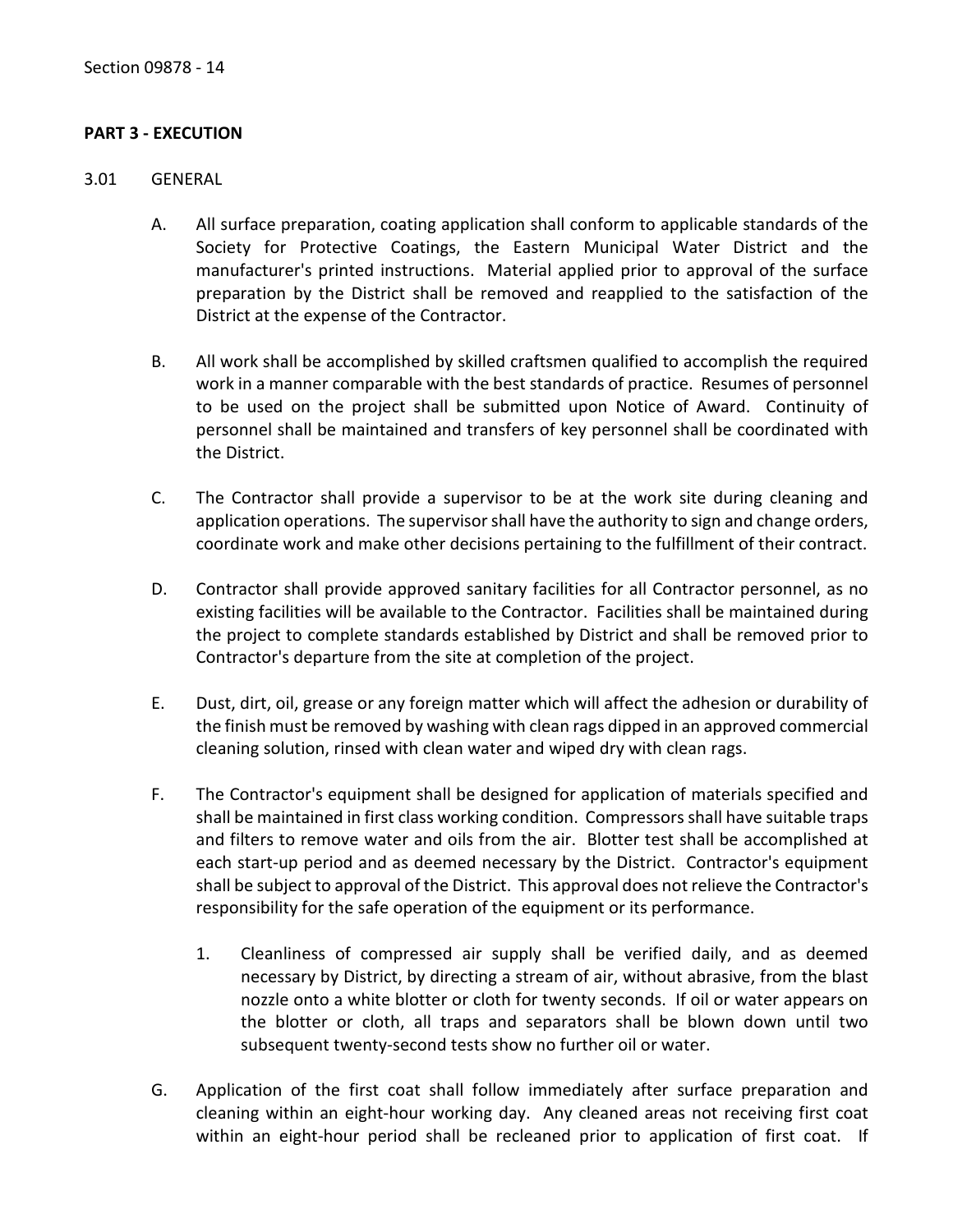### <span id="page-15-0"></span>**PART 3 - EXECUTION**

#### <span id="page-15-1"></span>3.01 GENERAL

- A. All surface preparation, coating application shall conform to applicable standards of the Society for Protective Coatings, the Eastern Municipal Water District and the manufacturer's printed instructions. Material applied prior to approval of the surface preparation by the District shall be removed and reapplied to the satisfaction of the District at the expense of the Contractor.
- B. All work shall be accomplished by skilled craftsmen qualified to accomplish the required work in a manner comparable with the best standards of practice. Resumes of personnel to be used on the project shall be submitted upon Notice of Award. Continuity of personnel shall be maintained and transfers of key personnel shall be coordinated with the District.
- C. The Contractor shall provide a supervisor to be at the work site during cleaning and application operations. The supervisor shall have the authority to sign and change orders, coordinate work and make other decisions pertaining to the fulfillment of their contract.
- D. Contractor shall provide approved sanitary facilities for all Contractor personnel, as no existing facilities will be available to the Contractor. Facilities shall be maintained during the project to complete standards established by District and shall be removed prior to Contractor's departure from the site at completion of the project.
- E. Dust, dirt, oil, grease or any foreign matter which will affect the adhesion or durability of the finish must be removed by washing with clean rags dipped in an approved commercial cleaning solution, rinsed with clean water and wiped dry with clean rags.
- F. The Contractor's equipment shall be designed for application of materials specified and shall be maintained in first class working condition. Compressors shall have suitable traps and filters to remove water and oils from the air. Blotter test shall be accomplished at each start-up period and as deemed necessary by the District. Contractor's equipment shall be subject to approval of the District. This approval does not relieve the Contractor's responsibility for the safe operation of the equipment or its performance.
	- 1. Cleanliness of compressed air supply shall be verified daily, and as deemed necessary by District, by directing a stream of air, without abrasive, from the blast nozzle onto a white blotter or cloth for twenty seconds. If oil or water appears on the blotter or cloth, all traps and separators shall be blown down until two subsequent twenty-second tests show no further oil or water.
- G. Application of the first coat shall follow immediately after surface preparation and cleaning within an eight-hour working day. Any cleaned areas not receiving first coat within an eight-hour period shall be recleaned prior to application of first coat. If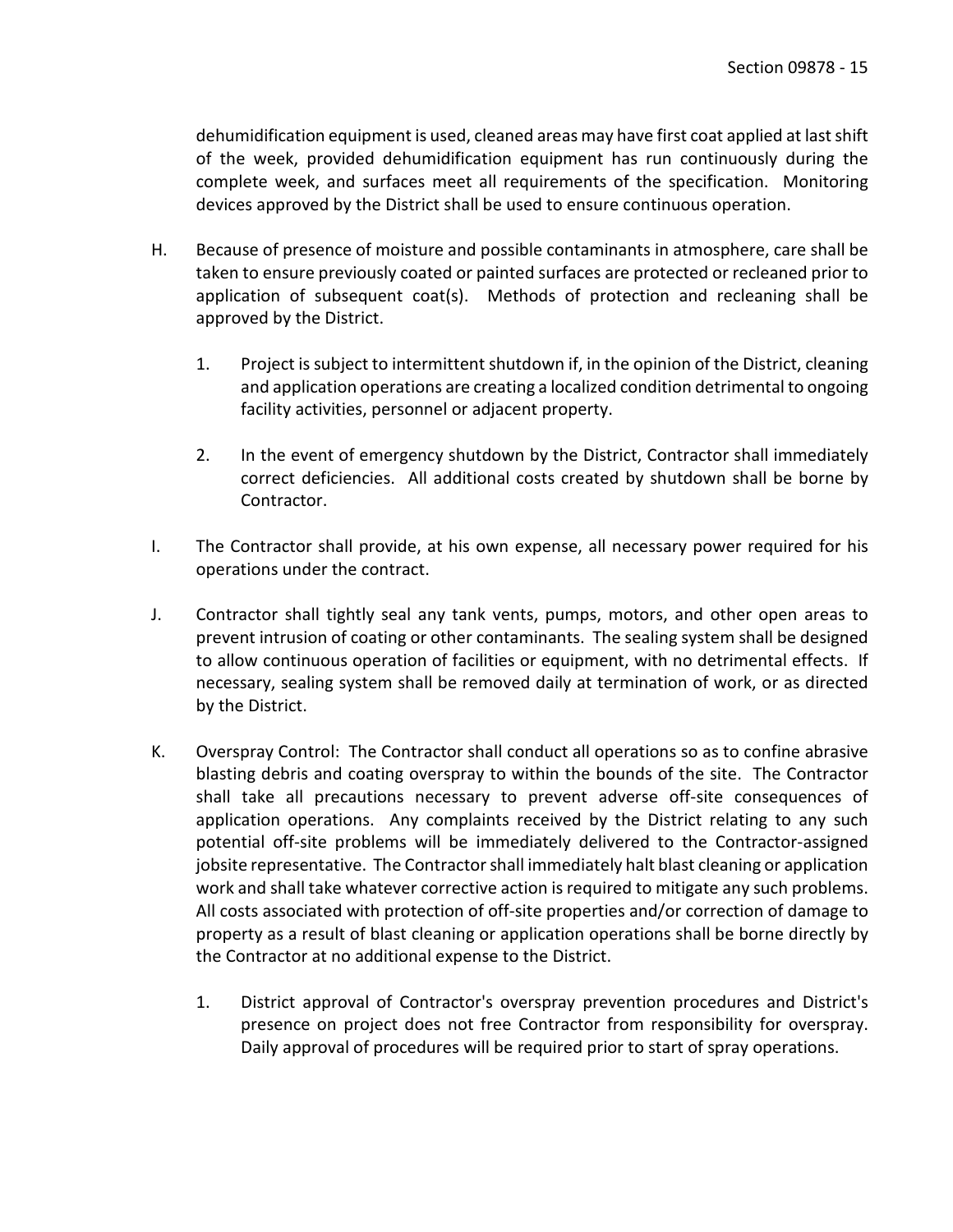dehumidification equipment is used, cleaned areas may have first coat applied at last shift of the week, provided dehumidification equipment has run continuously during the complete week, and surfaces meet all requirements of the specification. Monitoring devices approved by the District shall be used to ensure continuous operation.

- H. Because of presence of moisture and possible contaminants in atmosphere, care shall be taken to ensure previously coated or painted surfaces are protected or recleaned prior to application of subsequent coat(s). Methods of protection and recleaning shall be approved by the District.
	- 1. Project is subject to intermittent shutdown if, in the opinion of the District, cleaning and application operations are creating a localized condition detrimental to ongoing facility activities, personnel or adjacent property.
	- 2. In the event of emergency shutdown by the District, Contractor shall immediately correct deficiencies. All additional costs created by shutdown shall be borne by Contractor.
- I. The Contractor shall provide, at his own expense, all necessary power required for his operations under the contract.
- J. Contractor shall tightly seal any tank vents, pumps, motors, and other open areas to prevent intrusion of coating or other contaminants. The sealing system shall be designed to allow continuous operation of facilities or equipment, with no detrimental effects. If necessary, sealing system shall be removed daily at termination of work, or as directed by the District.
- K. Overspray Control: The Contractor shall conduct all operations so as to confine abrasive blasting debris and coating overspray to within the bounds of the site. The Contractor shall take all precautions necessary to prevent adverse off-site consequences of application operations. Any complaints received by the District relating to any such potential off-site problems will be immediately delivered to the Contractor-assigned jobsite representative. The Contractor shall immediately halt blast cleaning or application work and shall take whatever corrective action is required to mitigate any such problems. All costs associated with protection of off-site properties and/or correction of damage to property as a result of blast cleaning or application operations shall be borne directly by the Contractor at no additional expense to the District.
	- 1. District approval of Contractor's overspray prevention procedures and District's presence on project does not free Contractor from responsibility for overspray. Daily approval of procedures will be required prior to start of spray operations.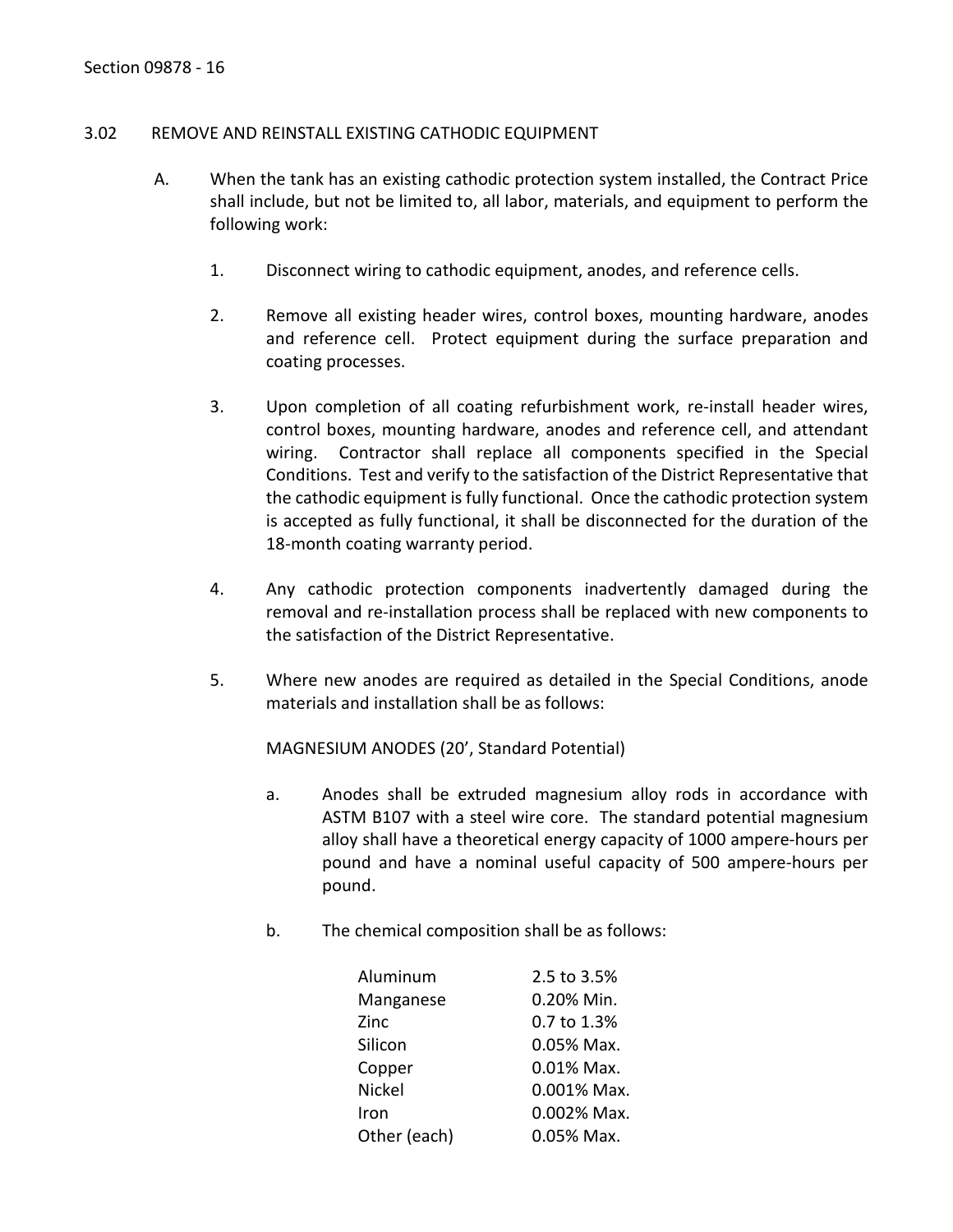#### <span id="page-17-0"></span>3.02 REMOVE AND REINSTALL EXISTING CATHODIC EQUIPMENT

- A. When the tank has an existing cathodic protection system installed, the Contract Price shall include, but not be limited to, all labor, materials, and equipment to perform the following work:
	- 1. Disconnect wiring to cathodic equipment, anodes, and reference cells.
	- 2. Remove all existing header wires, control boxes, mounting hardware, anodes and reference cell. Protect equipment during the surface preparation and coating processes.
	- 3. Upon completion of all coating refurbishment work, re-install header wires, control boxes, mounting hardware, anodes and reference cell, and attendant wiring. Contractor shall replace all components specified in the Special Conditions. Test and verify to the satisfaction of the District Representative that the cathodic equipment is fully functional. Once the cathodic protection system is accepted as fully functional, it shall be disconnected for the duration of the 18-month coating warranty period.
	- 4. Any cathodic protection components inadvertently damaged during the removal and re-installation process shall be replaced with new components to the satisfaction of the District Representative.
	- 5. Where new anodes are required as detailed in the Special Conditions, anode materials and installation shall be as follows:

MAGNESIUM ANODES (20', Standard Potential)

- a. Anodes shall be extruded magnesium alloy rods in accordance with ASTM B107 with a steel wire core. The standard potential magnesium alloy shall have a theoretical energy capacity of 1000 ampere-hours per pound and have a nominal useful capacity of 500 ampere-hours per pound.
- b. The chemical composition shall be as follows:

| Aluminum      | 2.5 to 3.5%   |
|---------------|---------------|
| Manganese     | 0.20% Min.    |
| Zinc          | 0.7 to 1.3%   |
| Silicon       | 0.05% Max.    |
| Copper        | $0.01\%$ Max. |
| <b>Nickel</b> | 0.001% Max.   |
| Iron          | 0.002% Max.   |
| Other (each)  | 0.05% Max.    |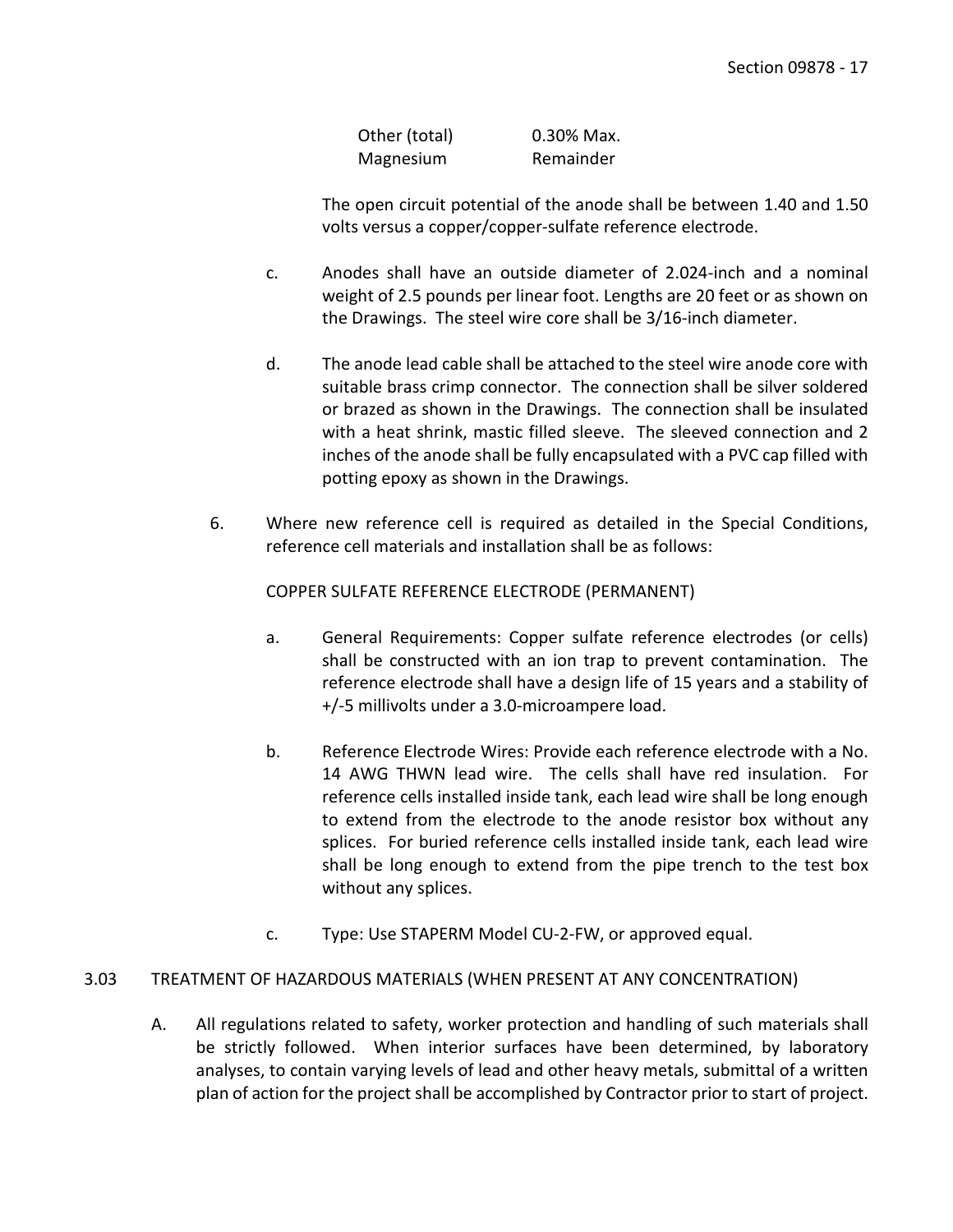Other (total) 0.30% Max. Magnesium Remainder

The open circuit potential of the anode shall be between 1.40 and 1.50 volts versus a copper/copper-sulfate reference electrode.

- c. Anodes shall have an outside diameter of 2.024-inch and a nominal weight of 2.5 pounds per linear foot. Lengths are 20 feet or as shown on the Drawings. The steel wire core shall be 3/16-inch diameter.
- d. The anode lead cable shall be attached to the steel wire anode core with suitable brass crimp connector. The connection shall be silver soldered or brazed as shown in the Drawings. The connection shall be insulated with a heat shrink, mastic filled sleeve. The sleeved connection and 2 inches of the anode shall be fully encapsulated with a PVC cap filled with potting epoxy as shown in the Drawings.
- 6. Where new reference cell is required as detailed in the Special Conditions, reference cell materials and installation shall be as follows:

COPPER SULFATE REFERENCE ELECTRODE (PERMANENT)

- a. General Requirements: Copper sulfate reference electrodes (or cells) shall be constructed with an ion trap to prevent contamination. The reference electrode shall have a design life of 15 years and a stability of +/-5 millivolts under a 3.0-microampere load.
- b. Reference Electrode Wires: Provide each reference electrode with a No. 14 AWG THWN lead wire. The cells shall have red insulation. For reference cells installed inside tank, each lead wire shall be long enough to extend from the electrode to the anode resistor box without any splices. For buried reference cells installed inside tank, each lead wire shall be long enough to extend from the pipe trench to the test box without any splices.
- c. Type: Use STAPERM Model CU-2-FW, or approved equal.

# <span id="page-18-0"></span>3.03 TREATMENT OF HAZARDOUS MATERIALS (WHEN PRESENT AT ANY CONCENTRATION)

A. All regulations related to safety, worker protection and handling of such materials shall be strictly followed. When interior surfaces have been determined, by laboratory analyses, to contain varying levels of lead and other heavy metals, submittal of a written plan of action for the project shall be accomplished by Contractor prior to start of project.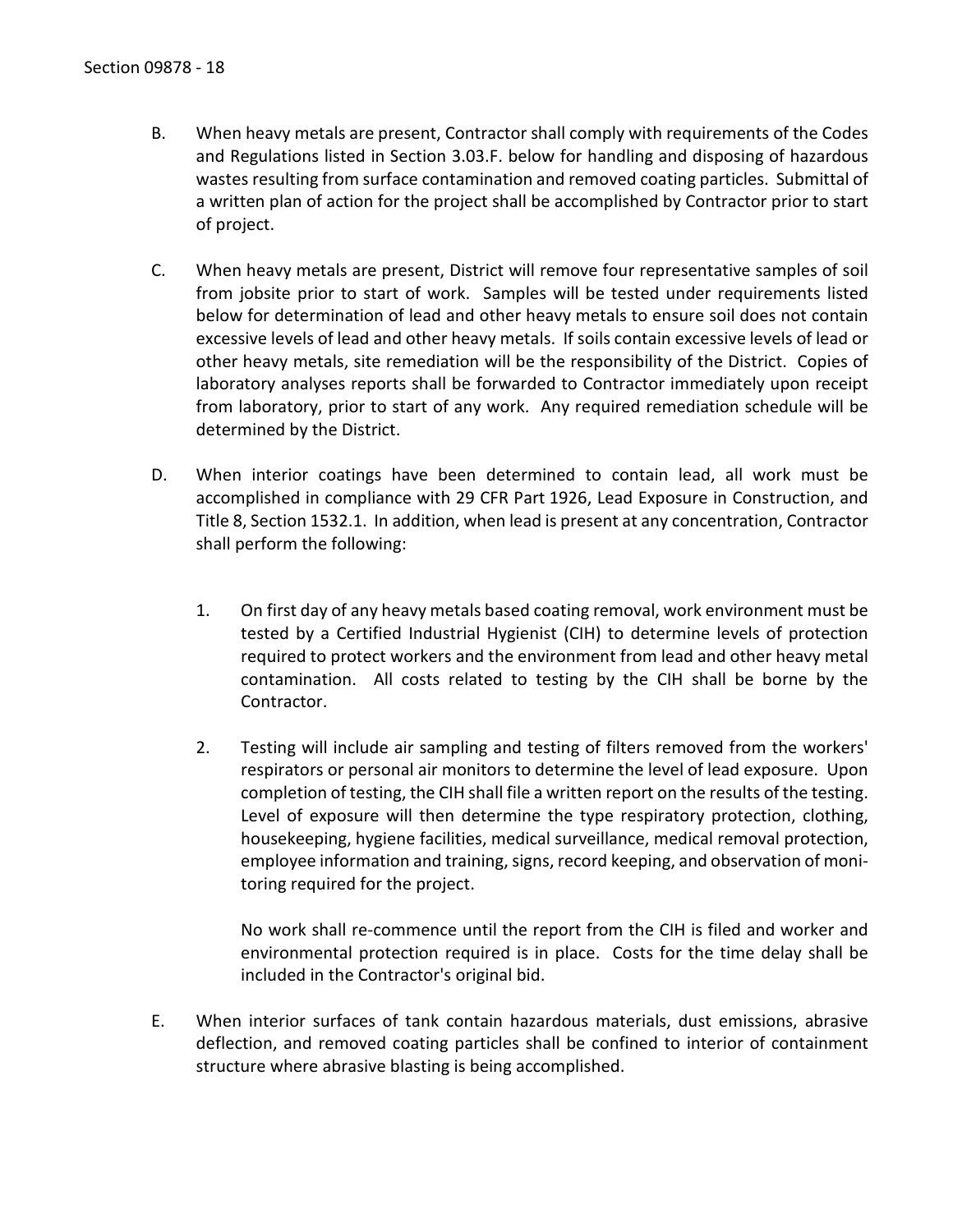- B. When heavy metals are present, Contractor shall comply with requirements of the Codes and Regulations listed in Section 3.03.F. below for handling and disposing of hazardous wastes resulting from surface contamination and removed coating particles. Submittal of a written plan of action for the project shall be accomplished by Contractor prior to start of project.
- C. When heavy metals are present, District will remove four representative samples of soil from jobsite prior to start of work. Samples will be tested under requirements listed below for determination of lead and other heavy metals to ensure soil does not contain excessive levels of lead and other heavy metals. If soils contain excessive levels of lead or other heavy metals, site remediation will be the responsibility of the District. Copies of laboratory analyses reports shall be forwarded to Contractor immediately upon receipt from laboratory, prior to start of any work. Any required remediation schedule will be determined by the District.
- D. When interior coatings have been determined to contain lead, all work must be accomplished in compliance with 29 CFR Part 1926, Lead Exposure in Construction, and Title 8, Section 1532.1. In addition, when lead is present at any concentration, Contractor shall perform the following:
	- 1. On first day of any heavy metals based coating removal, work environment must be tested by a Certified Industrial Hygienist (CIH) to determine levels of protection required to protect workers and the environment from lead and other heavy metal contamination. All costs related to testing by the CIH shall be borne by the Contractor.
	- 2. Testing will include air sampling and testing of filters removed from the workers' respirators or personal air monitors to determine the level of lead exposure. Upon completion of testing, the CIH shall file a written report on the results of the testing. Level of exposure will then determine the type respiratory protection, clothing, housekeeping, hygiene facilities, medical surveillance, medical removal protection, employee information and training, signs, record keeping, and observation of monitoring required for the project.

No work shall re-commence until the report from the CIH is filed and worker and environmental protection required is in place. Costs for the time delay shall be included in the Contractor's original bid.

E. When interior surfaces of tank contain hazardous materials, dust emissions, abrasive deflection, and removed coating particles shall be confined to interior of containment structure where abrasive blasting is being accomplished.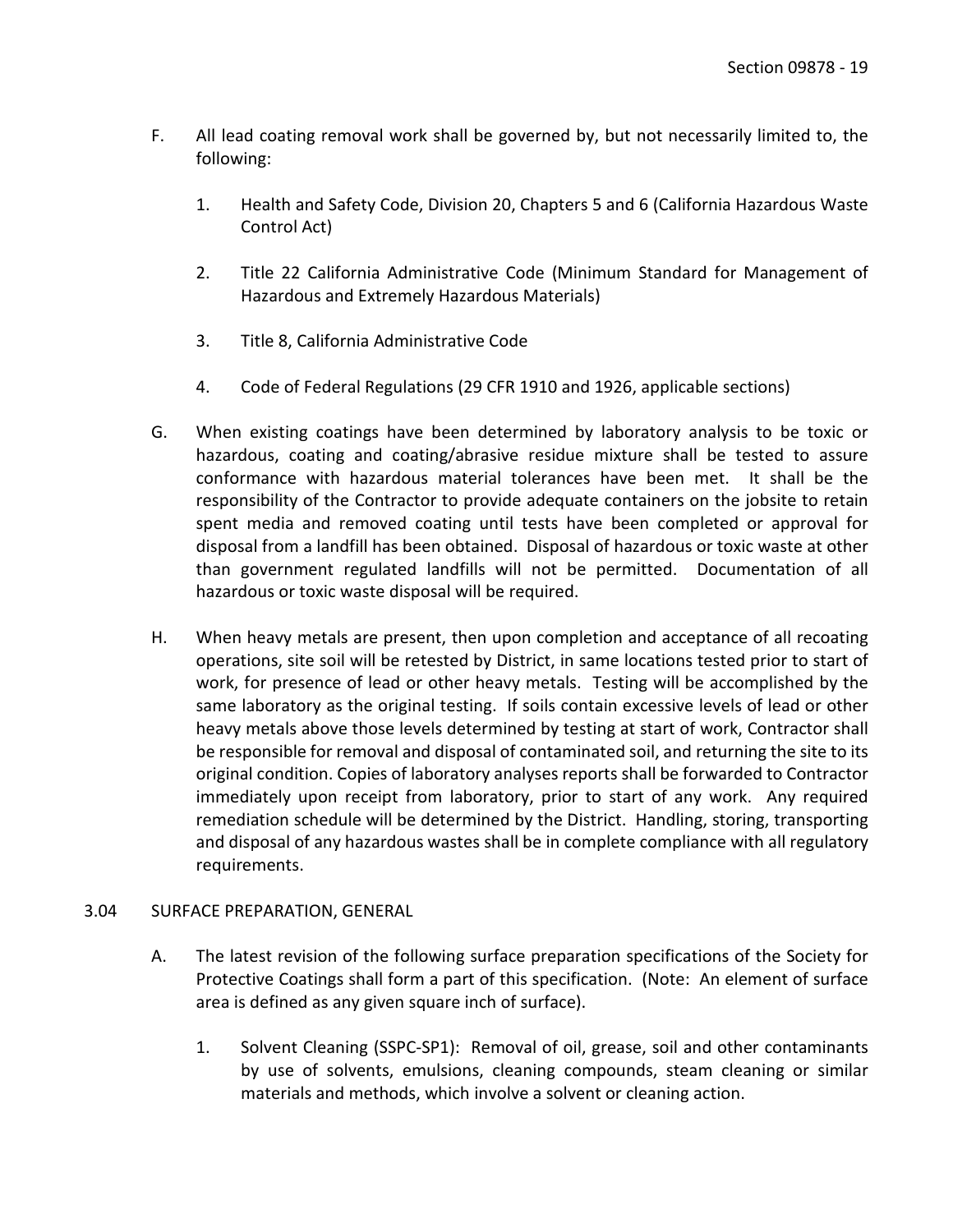- F. All lead coating removal work shall be governed by, but not necessarily limited to, the following:
	- 1. Health and Safety Code, Division 20, Chapters 5 and 6 (California Hazardous Waste Control Act)
	- 2. Title 22 California Administrative Code (Minimum Standard for Management of Hazardous and Extremely Hazardous Materials)
	- 3. Title 8, California Administrative Code
	- 4. Code of Federal Regulations (29 CFR 1910 and 1926, applicable sections)
- G. When existing coatings have been determined by laboratory analysis to be toxic or hazardous, coating and coating/abrasive residue mixture shall be tested to assure conformance with hazardous material tolerances have been met. It shall be the responsibility of the Contractor to provide adequate containers on the jobsite to retain spent media and removed coating until tests have been completed or approval for disposal from a landfill has been obtained. Disposal of hazardous or toxic waste at other than government regulated landfills will not be permitted. Documentation of all hazardous or toxic waste disposal will be required.
- H. When heavy metals are present, then upon completion and acceptance of all recoating operations, site soil will be retested by District, in same locations tested prior to start of work, for presence of lead or other heavy metals. Testing will be accomplished by the same laboratory as the original testing. If soils contain excessive levels of lead or other heavy metals above those levels determined by testing at start of work, Contractor shall be responsible for removal and disposal of contaminated soil, and returning the site to its original condition. Copies of laboratory analyses reports shall be forwarded to Contractor immediately upon receipt from laboratory, prior to start of any work. Any required remediation schedule will be determined by the District. Handling, storing, transporting and disposal of any hazardous wastes shall be in complete compliance with all regulatory requirements.

### <span id="page-20-0"></span>3.04 SURFACE PREPARATION, GENERAL

- A. The latest revision of the following surface preparation specifications of the Society for Protective Coatings shall form a part of this specification. (Note: An element of surface area is defined as any given square inch of surface).
	- 1. Solvent Cleaning (SSPC-SP1): Removal of oil, grease, soil and other contaminants by use of solvents, emulsions, cleaning compounds, steam cleaning or similar materials and methods, which involve a solvent or cleaning action.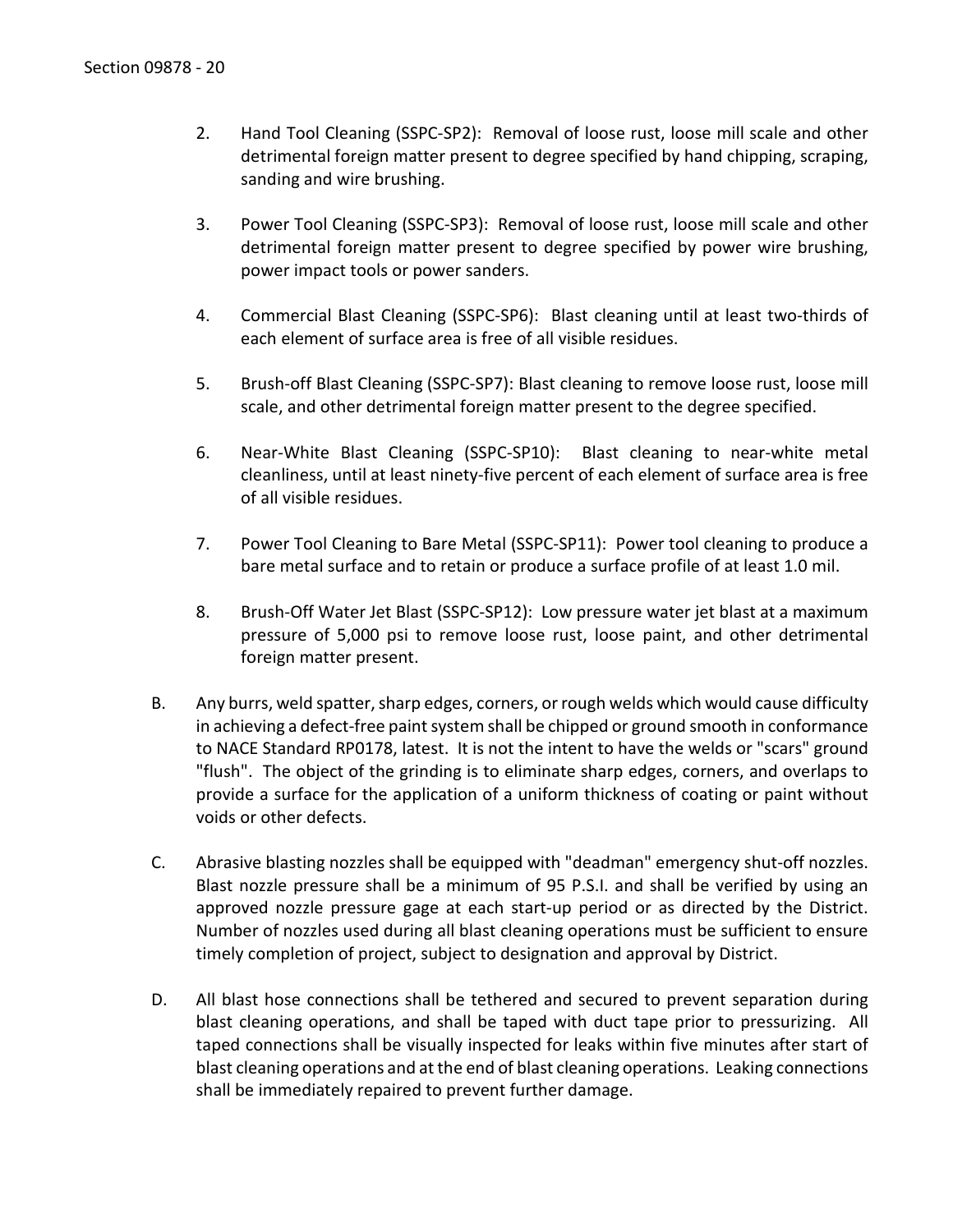- 2. Hand Tool Cleaning (SSPC-SP2): Removal of loose rust, loose mill scale and other detrimental foreign matter present to degree specified by hand chipping, scraping, sanding and wire brushing.
- 3. Power Tool Cleaning (SSPC-SP3): Removal of loose rust, loose mill scale and other detrimental foreign matter present to degree specified by power wire brushing, power impact tools or power sanders.
- 4. Commercial Blast Cleaning (SSPC-SP6): Blast cleaning until at least two-thirds of each element of surface area is free of all visible residues.
- 5. Brush-off Blast Cleaning (SSPC-SP7): Blast cleaning to remove loose rust, loose mill scale, and other detrimental foreign matter present to the degree specified.
- 6. Near-White Blast Cleaning (SSPC-SP10): Blast cleaning to near-white metal cleanliness, until at least ninety-five percent of each element of surface area is free of all visible residues.
- 7. Power Tool Cleaning to Bare Metal (SSPC-SP11): Power tool cleaning to produce a bare metal surface and to retain or produce a surface profile of at least 1.0 mil.
- 8. Brush-Off Water Jet Blast (SSPC-SP12): Low pressure water jet blast at a maximum pressure of 5,000 psi to remove loose rust, loose paint, and other detrimental foreign matter present.
- B. Any burrs, weld spatter, sharp edges, corners, or rough welds which would cause difficulty in achieving a defect-free paint system shall be chipped or ground smooth in conformance to NACE Standard RP0178, latest. It is not the intent to have the welds or "scars" ground "flush". The object of the grinding is to eliminate sharp edges, corners, and overlaps to provide a surface for the application of a uniform thickness of coating or paint without voids or other defects.
- C. Abrasive blasting nozzles shall be equipped with "deadman" emergency shut-off nozzles. Blast nozzle pressure shall be a minimum of 95 P.S.I. and shall be verified by using an approved nozzle pressure gage at each start-up period or as directed by the District. Number of nozzles used during all blast cleaning operations must be sufficient to ensure timely completion of project, subject to designation and approval by District.
- D. All blast hose connections shall be tethered and secured to prevent separation during blast cleaning operations, and shall be taped with duct tape prior to pressurizing. All taped connections shall be visually inspected for leaks within five minutes after start of blast cleaning operations and at the end of blast cleaning operations. Leaking connections shall be immediately repaired to prevent further damage.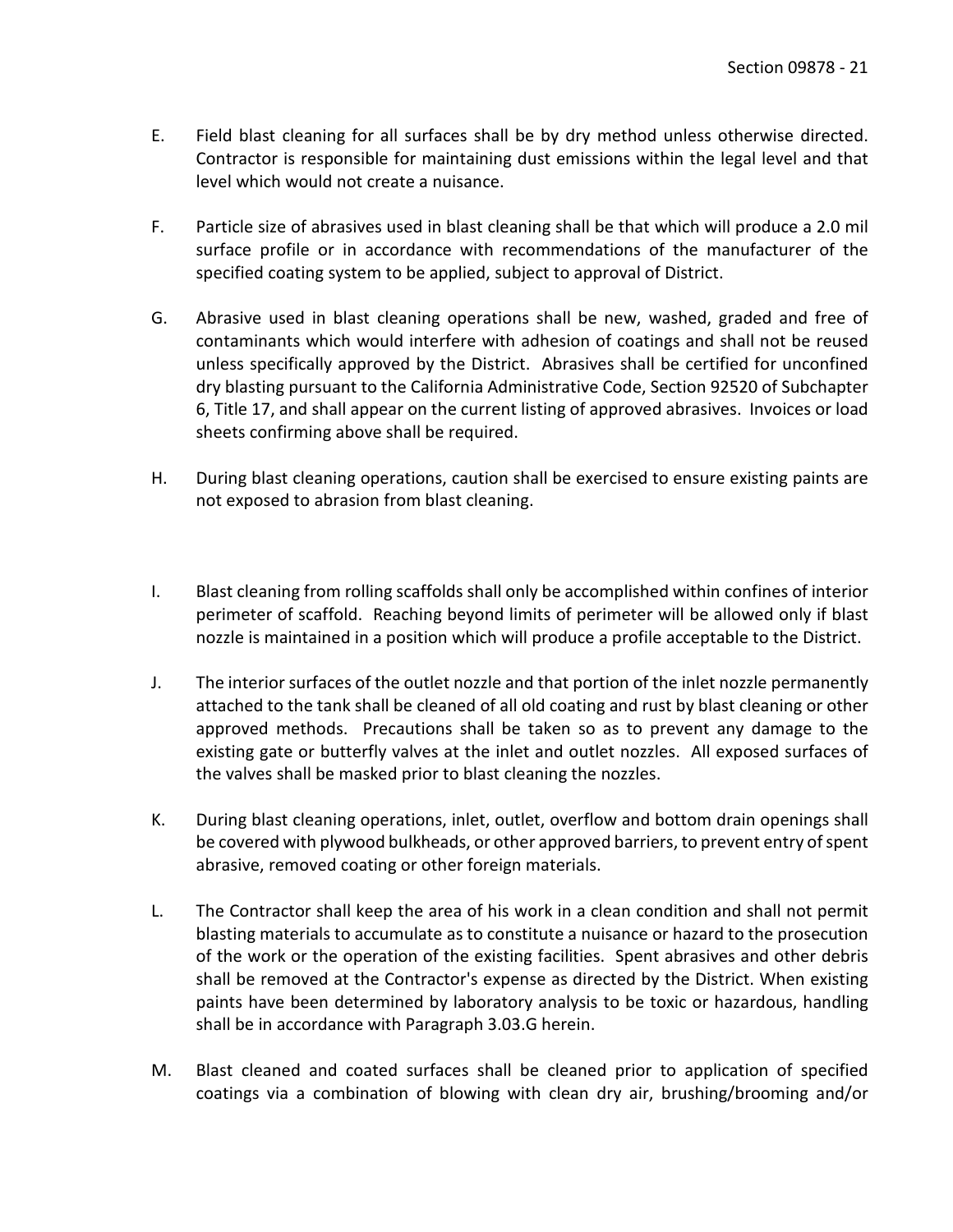- E. Field blast cleaning for all surfaces shall be by dry method unless otherwise directed. Contractor is responsible for maintaining dust emissions within the legal level and that level which would not create a nuisance.
- F. Particle size of abrasives used in blast cleaning shall be that which will produce a 2.0 mil surface profile or in accordance with recommendations of the manufacturer of the specified coating system to be applied, subject to approval of District.
- G. Abrasive used in blast cleaning operations shall be new, washed, graded and free of contaminants which would interfere with adhesion of coatings and shall not be reused unless specifically approved by the District. Abrasives shall be certified for unconfined dry blasting pursuant to the California Administrative Code, Section 92520 of Subchapter 6, Title 17, and shall appear on the current listing of approved abrasives. Invoices or load sheets confirming above shall be required.
- H. During blast cleaning operations, caution shall be exercised to ensure existing paints are not exposed to abrasion from blast cleaning.
- I. Blast cleaning from rolling scaffolds shall only be accomplished within confines of interior perimeter of scaffold. Reaching beyond limits of perimeter will be allowed only if blast nozzle is maintained in a position which will produce a profile acceptable to the District.
- J. The interior surfaces of the outlet nozzle and that portion of the inlet nozzle permanently attached to the tank shall be cleaned of all old coating and rust by blast cleaning or other approved methods. Precautions shall be taken so as to prevent any damage to the existing gate or butterfly valves at the inlet and outlet nozzles. All exposed surfaces of the valves shall be masked prior to blast cleaning the nozzles.
- K. During blast cleaning operations, inlet, outlet, overflow and bottom drain openings shall be covered with plywood bulkheads, or other approved barriers, to prevent entry of spent abrasive, removed coating or other foreign materials.
- L. The Contractor shall keep the area of his work in a clean condition and shall not permit blasting materials to accumulate as to constitute a nuisance or hazard to the prosecution of the work or the operation of the existing facilities. Spent abrasives and other debris shall be removed at the Contractor's expense as directed by the District. When existing paints have been determined by laboratory analysis to be toxic or hazardous, handling shall be in accordance with Paragraph 3.03.G herein.
- M. Blast cleaned and coated surfaces shall be cleaned prior to application of specified coatings via a combination of blowing with clean dry air, brushing/brooming and/or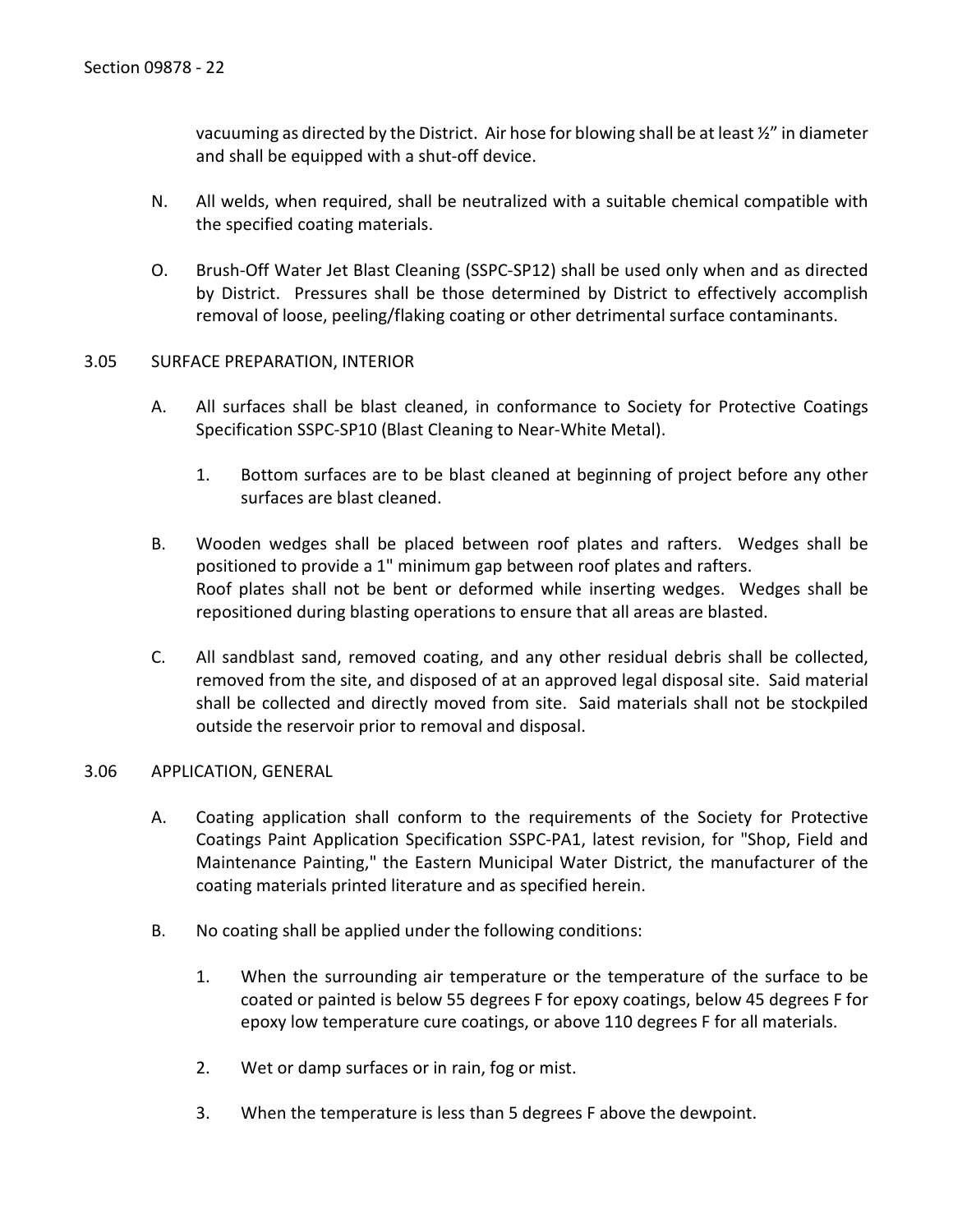vacuuming as directed by the District. Air hose for blowing shall be at least ½" in diameter and shall be equipped with a shut-off device.

- N. All welds, when required, shall be neutralized with a suitable chemical compatible with the specified coating materials.
- O. Brush-Off Water Jet Blast Cleaning (SSPC-SP12) shall be used only when and as directed by District. Pressures shall be those determined by District to effectively accomplish removal of loose, peeling/flaking coating or other detrimental surface contaminants.

#### <span id="page-23-0"></span>3.05 SURFACE PREPARATION, INTERIOR

- A. All surfaces shall be blast cleaned, in conformance to Society for Protective Coatings Specification SSPC-SP10 (Blast Cleaning to Near-White Metal).
	- 1. Bottom surfaces are to be blast cleaned at beginning of project before any other surfaces are blast cleaned.
- B. Wooden wedges shall be placed between roof plates and rafters. Wedges shall be positioned to provide a 1" minimum gap between roof plates and rafters. Roof plates shall not be bent or deformed while inserting wedges. Wedges shall be repositioned during blasting operations to ensure that all areas are blasted.
- C. All sandblast sand, removed coating, and any other residual debris shall be collected, removed from the site, and disposed of at an approved legal disposal site. Said material shall be collected and directly moved from site. Said materials shall not be stockpiled outside the reservoir prior to removal and disposal.

### <span id="page-23-1"></span>3.06 APPLICATION, GENERAL

- A. Coating application shall conform to the requirements of the Society for Protective Coatings Paint Application Specification SSPC-PA1, latest revision, for "Shop, Field and Maintenance Painting," the Eastern Municipal Water District, the manufacturer of the coating materials printed literature and as specified herein.
- B. No coating shall be applied under the following conditions:
	- 1. When the surrounding air temperature or the temperature of the surface to be coated or painted is below 55 degrees F for epoxy coatings, below 45 degrees F for epoxy low temperature cure coatings, or above 110 degrees F for all materials.
	- 2. Wet or damp surfaces or in rain, fog or mist.
	- 3. When the temperature is less than 5 degrees F above the dewpoint.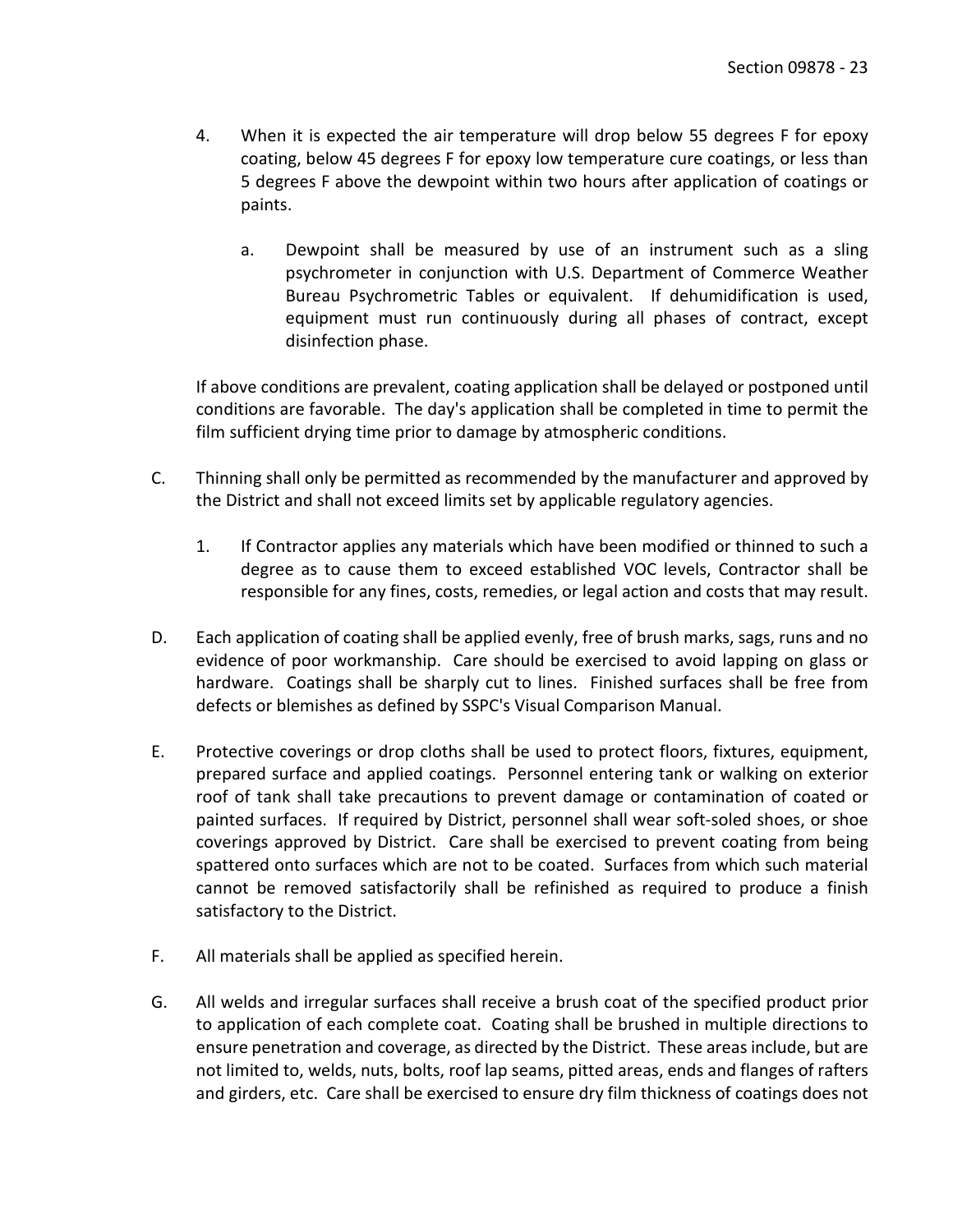- 4. When it is expected the air temperature will drop below 55 degrees F for epoxy coating, below 45 degrees F for epoxy low temperature cure coatings, or less than 5 degrees F above the dewpoint within two hours after application of coatings or paints.
	- a. Dewpoint shall be measured by use of an instrument such as a sling psychrometer in conjunction with U.S. Department of Commerce Weather Bureau Psychrometric Tables or equivalent. If dehumidification is used, equipment must run continuously during all phases of contract, except disinfection phase.

If above conditions are prevalent, coating application shall be delayed or postponed until conditions are favorable. The day's application shall be completed in time to permit the film sufficient drying time prior to damage by atmospheric conditions.

- C. Thinning shall only be permitted as recommended by the manufacturer and approved by the District and shall not exceed limits set by applicable regulatory agencies.
	- 1. If Contractor applies any materials which have been modified or thinned to such a degree as to cause them to exceed established VOC levels, Contractor shall be responsible for any fines, costs, remedies, or legal action and costs that may result.
- D. Each application of coating shall be applied evenly, free of brush marks, sags, runs and no evidence of poor workmanship. Care should be exercised to avoid lapping on glass or hardware. Coatings shall be sharply cut to lines. Finished surfaces shall be free from defects or blemishes as defined by SSPC's Visual Comparison Manual.
- E. Protective coverings or drop cloths shall be used to protect floors, fixtures, equipment, prepared surface and applied coatings. Personnel entering tank or walking on exterior roof of tank shall take precautions to prevent damage or contamination of coated or painted surfaces. If required by District, personnel shall wear soft-soled shoes, or shoe coverings approved by District. Care shall be exercised to prevent coating from being spattered onto surfaces which are not to be coated. Surfaces from which such material cannot be removed satisfactorily shall be refinished as required to produce a finish satisfactory to the District.
- F. All materials shall be applied as specified herein.
- G. All welds and irregular surfaces shall receive a brush coat of the specified product prior to application of each complete coat. Coating shall be brushed in multiple directions to ensure penetration and coverage, as directed by the District. These areas include, but are not limited to, welds, nuts, bolts, roof lap seams, pitted areas, ends and flanges of rafters and girders, etc. Care shall be exercised to ensure dry film thickness of coatings does not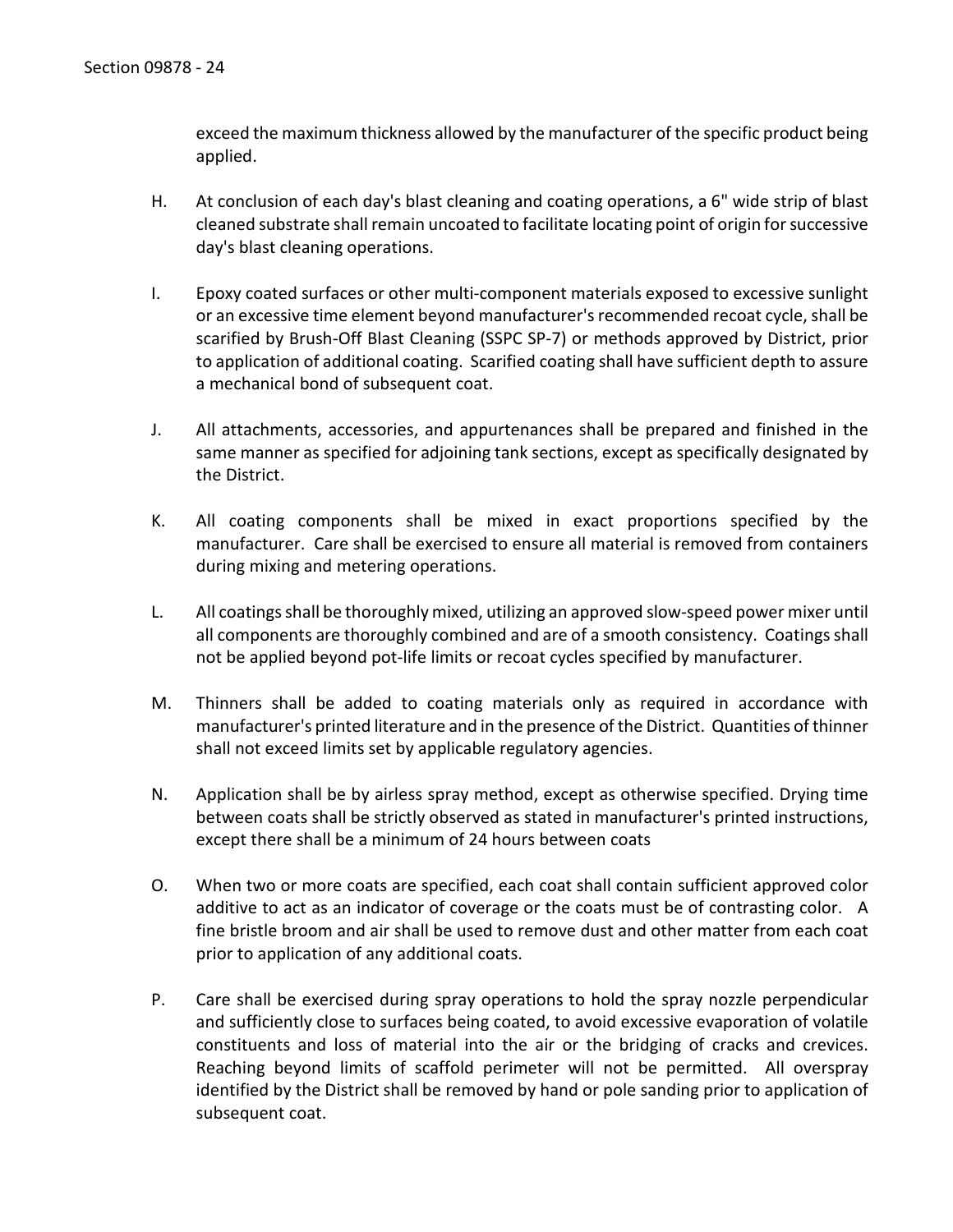exceed the maximum thickness allowed by the manufacturer of the specific product being applied.

- H. At conclusion of each day's blast cleaning and coating operations, a 6" wide strip of blast cleaned substrate shall remain uncoated to facilitate locating point of origin for successive day's blast cleaning operations.
- I. Epoxy coated surfaces or other multi-component materials exposed to excessive sunlight or an excessive time element beyond manufacturer's recommended recoat cycle, shall be scarified by Brush-Off Blast Cleaning (SSPC SP-7) or methods approved by District, prior to application of additional coating. Scarified coating shall have sufficient depth to assure a mechanical bond of subsequent coat.
- J. All attachments, accessories, and appurtenances shall be prepared and finished in the same manner as specified for adjoining tank sections, except as specifically designated by the District.
- K. All coating components shall be mixed in exact proportions specified by the manufacturer. Care shall be exercised to ensure all material is removed from containers during mixing and metering operations.
- L. All coatings shall be thoroughly mixed, utilizing an approved slow-speed power mixer until all components are thoroughly combined and are of a smooth consistency. Coatings shall not be applied beyond pot-life limits or recoat cycles specified by manufacturer.
- M. Thinners shall be added to coating materials only as required in accordance with manufacturer's printed literature and in the presence of the District. Quantities of thinner shall not exceed limits set by applicable regulatory agencies.
- N. Application shall be by airless spray method, except as otherwise specified. Drying time between coats shall be strictly observed as stated in manufacturer's printed instructions, except there shall be a minimum of 24 hours between coats
- O. When two or more coats are specified, each coat shall contain sufficient approved color additive to act as an indicator of coverage or the coats must be of contrasting color. A fine bristle broom and air shall be used to remove dust and other matter from each coat prior to application of any additional coats.
- P. Care shall be exercised during spray operations to hold the spray nozzle perpendicular and sufficiently close to surfaces being coated, to avoid excessive evaporation of volatile constituents and loss of material into the air or the bridging of cracks and crevices. Reaching beyond limits of scaffold perimeter will not be permitted. All overspray identified by the District shall be removed by hand or pole sanding prior to application of subsequent coat.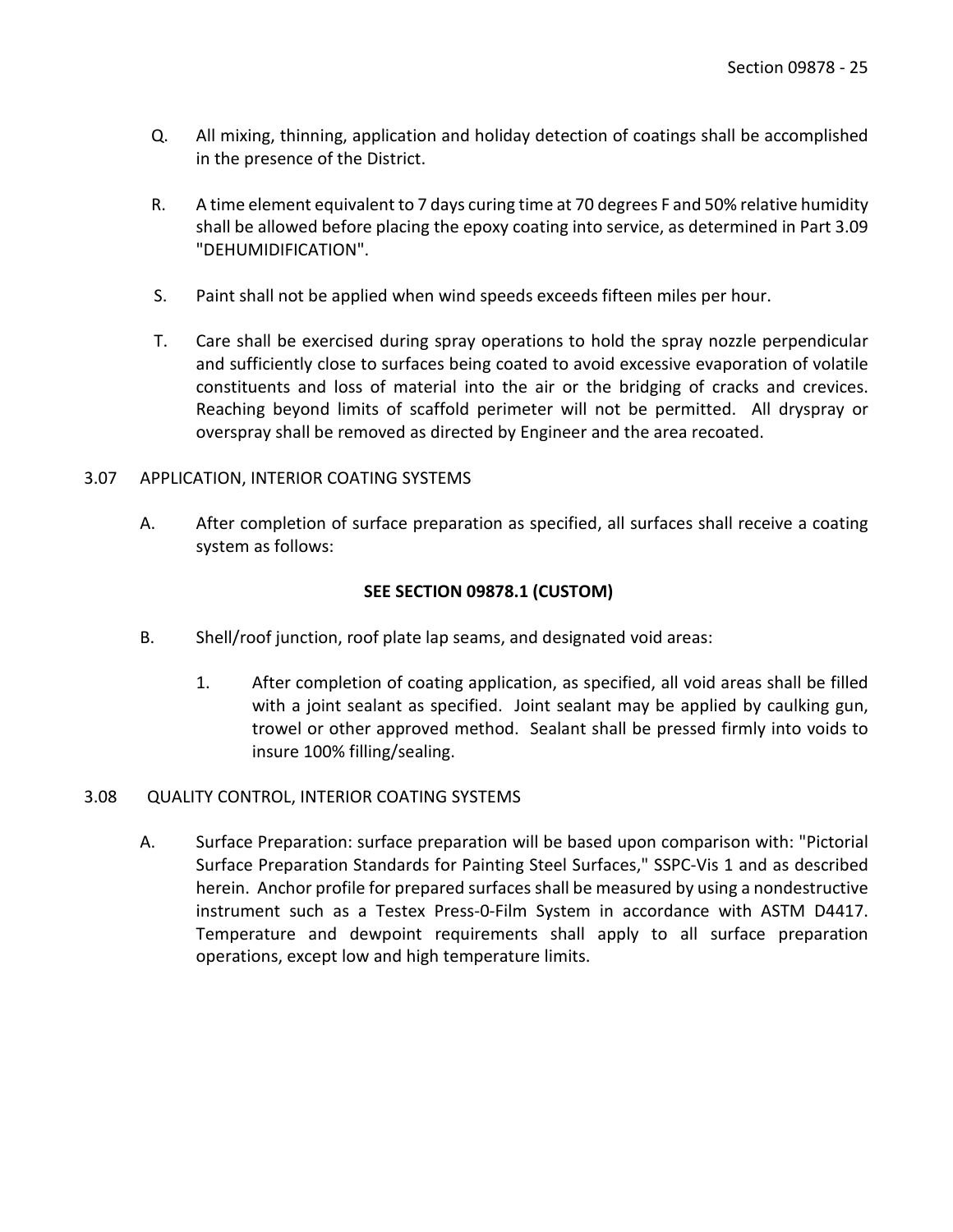- Q. All mixing, thinning, application and holiday detection of coatings shall be accomplished in the presence of the District.
- R. A time element equivalent to 7 days curing time at 70 degrees F and 50% relative humidity shall be allowed before placing the epoxy coating into service, as determined in Part 3.09 "DEHUMIDIFICATION".
- S. Paint shall not be applied when wind speeds exceeds fifteen miles per hour.
- T. Care shall be exercised during spray operations to hold the spray nozzle perpendicular and sufficiently close to surfaces being coated to avoid excessive evaporation of volatile constituents and loss of material into the air or the bridging of cracks and crevices. Reaching beyond limits of scaffold perimeter will not be permitted. All dryspray or overspray shall be removed as directed by Engineer and the area recoated.

### <span id="page-26-0"></span>3.07 APPLICATION, INTERIOR COATING SYSTEMS

A. After completion of surface preparation as specified, all surfaces shall receive a coating system as follows:

## **SEE SECTION 09878.1 (CUSTOM)**

- B. Shell/roof junction, roof plate lap seams, and designated void areas:
	- 1. After completion of coating application, as specified, all void areas shall be filled with a joint sealant as specified. Joint sealant may be applied by caulking gun, trowel or other approved method. Sealant shall be pressed firmly into voids to insure 100% filling/sealing.

### <span id="page-26-1"></span>3.08 QUALITY CONTROL, INTERIOR COATING SYSTEMS

A. Surface Preparation: surface preparation will be based upon comparison with: "Pictorial Surface Preparation Standards for Painting Steel Surfaces," SSPC-Vis 1 and as described herein. Anchor profile for prepared surfaces shall be measured by using a nondestructive instrument such as a Testex Press-0-Film System in accordance with ASTM D4417. Temperature and dewpoint requirements shall apply to all surface preparation operations, except low and high temperature limits.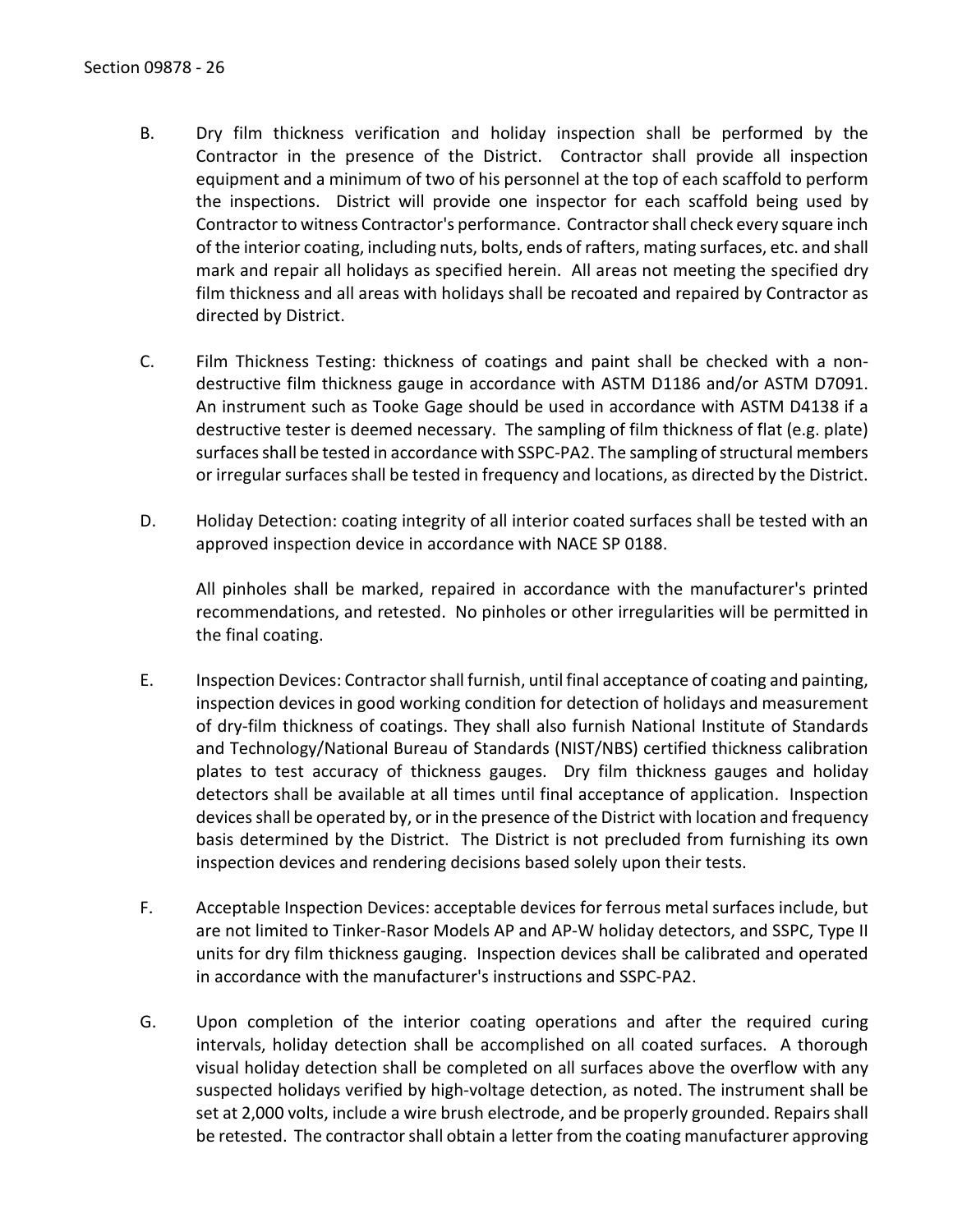- B. Dry film thickness verification and holiday inspection shall be performed by the Contractor in the presence of the District. Contractor shall provide all inspection equipment and a minimum of two of his personnel at the top of each scaffold to perform the inspections. District will provide one inspector for each scaffold being used by Contractor to witness Contractor's performance. Contractor shall check every square inch of the interior coating, including nuts, bolts, ends of rafters, mating surfaces, etc. and shall mark and repair all holidays as specified herein. All areas not meeting the specified dry film thickness and all areas with holidays shall be recoated and repaired by Contractor as directed by District.
- C. Film Thickness Testing: thickness of coatings and paint shall be checked with a nondestructive film thickness gauge in accordance with ASTM D1186 and/or ASTM D7091. An instrument such as Tooke Gage should be used in accordance with ASTM D4138 if a destructive tester is deemed necessary. The sampling of film thickness of flat (e.g. plate) surfaces shall be tested in accordance with SSPC-PA2. The sampling of structural members or irregular surfaces shall be tested in frequency and locations, as directed by the District.
- D. Holiday Detection: coating integrity of all interior coated surfaces shall be tested with an approved inspection device in accordance with NACE SP 0188.

All pinholes shall be marked, repaired in accordance with the manufacturer's printed recommendations, and retested. No pinholes or other irregularities will be permitted in the final coating.

- E. Inspection Devices: Contractor shall furnish, until final acceptance of coating and painting, inspection devices in good working condition for detection of holidays and measurement of dry-film thickness of coatings. They shall also furnish National Institute of Standards and Technology/National Bureau of Standards (NIST/NBS) certified thickness calibration plates to test accuracy of thickness gauges. Dry film thickness gauges and holiday detectors shall be available at all times until final acceptance of application. Inspection devices shall be operated by, or in the presence of the District with location and frequency basis determined by the District. The District is not precluded from furnishing its own inspection devices and rendering decisions based solely upon their tests.
- F. Acceptable Inspection Devices: acceptable devices for ferrous metal surfaces include, but are not limited to Tinker-Rasor Models AP and AP-W holiday detectors, and SSPC, Type II units for dry film thickness gauging. Inspection devices shall be calibrated and operated in accordance with the manufacturer's instructions and SSPC-PA2.
- G. Upon completion of the interior coating operations and after the required curing intervals, holiday detection shall be accomplished on all coated surfaces. A thorough visual holiday detection shall be completed on all surfaces above the overflow with any suspected holidays verified by high-voltage detection, as noted. The instrument shall be set at 2,000 volts, include a wire brush electrode, and be properly grounded. Repairs shall be retested. The contractor shall obtain a letter from the coating manufacturer approving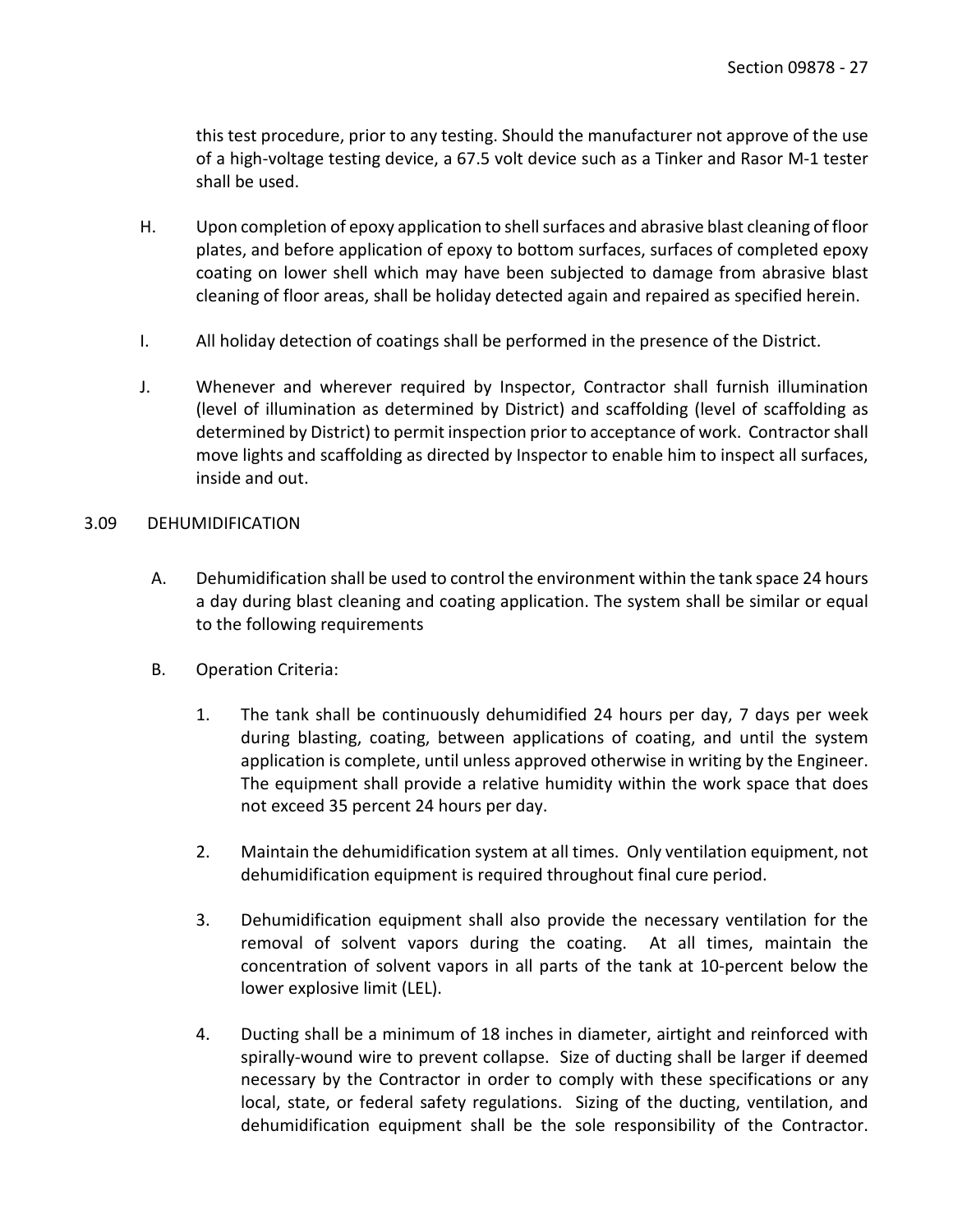this test procedure, prior to any testing. Should the manufacturer not approve of the use of a high-voltage testing device, a 67.5 volt device such as a Tinker and Rasor M-1 tester shall be used.

- H. Upon completion of epoxy application to shell surfaces and abrasive blast cleaning of floor plates, and before application of epoxy to bottom surfaces, surfaces of completed epoxy coating on lower shell which may have been subjected to damage from abrasive blast cleaning of floor areas, shall be holiday detected again and repaired as specified herein.
- I. All holiday detection of coatings shall be performed in the presence of the District.
- J. Whenever and wherever required by Inspector, Contractor shall furnish illumination (level of illumination as determined by District) and scaffolding (level of scaffolding as determined by District) to permit inspection prior to acceptance of work. Contractor shall move lights and scaffolding as directed by Inspector to enable him to inspect all surfaces, inside and out.

#### <span id="page-28-0"></span>3.09 DEHUMIDIFICATION

- A. Dehumidification shall be used to control the environment within the tank space 24 hours a day during blast cleaning and coating application. The system shall be similar or equal to the following requirements
- B. Operation Criteria:
	- 1. The tank shall be continuously dehumidified 24 hours per day, 7 days per week during blasting, coating, between applications of coating, and until the system application is complete, until unless approved otherwise in writing by the Engineer. The equipment shall provide a relative humidity within the work space that does not exceed 35 percent 24 hours per day.
	- 2. Maintain the dehumidification system at all times. Only ventilation equipment, not dehumidification equipment is required throughout final cure period.
	- 3. Dehumidification equipment shall also provide the necessary ventilation for the removal of solvent vapors during the coating. At all times, maintain the concentration of solvent vapors in all parts of the tank at 10-percent below the lower explosive limit (LEL).
	- 4. Ducting shall be a minimum of 18 inches in diameter, airtight and reinforced with spirally-wound wire to prevent collapse. Size of ducting shall be larger if deemed necessary by the Contractor in order to comply with these specifications or any local, state, or federal safety regulations. Sizing of the ducting, ventilation, and dehumidification equipment shall be the sole responsibility of the Contractor.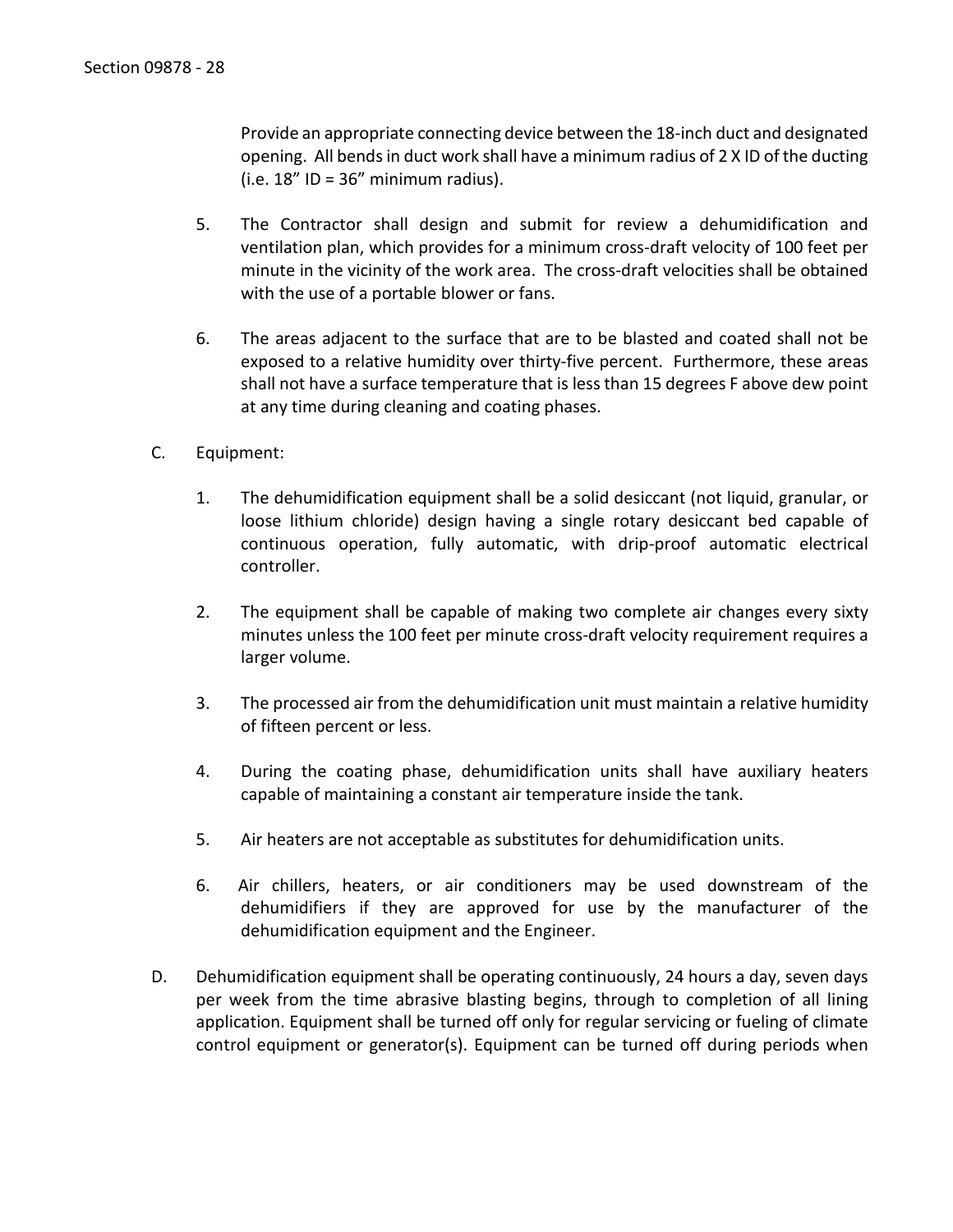Provide an appropriate connecting device between the 18-inch duct and designated opening. All bends in duct work shall have a minimum radius of 2 X ID of the ducting  $(i.e. 18"$  ID = 36" minimum radius).

- 5. The Contractor shall design and submit for review a dehumidification and ventilation plan, which provides for a minimum cross-draft velocity of 100 feet per minute in the vicinity of the work area. The cross-draft velocities shall be obtained with the use of a portable blower or fans.
- 6. The areas adjacent to the surface that are to be blasted and coated shall not be exposed to a relative humidity over thirty-five percent. Furthermore, these areas shall not have a surface temperature that is less than 15 degrees F above dew point at any time during cleaning and coating phases.
- C. Equipment:
	- 1. The dehumidification equipment shall be a solid desiccant (not liquid, granular, or loose lithium chloride) design having a single rotary desiccant bed capable of continuous operation, fully automatic, with drip-proof automatic electrical controller.
	- 2. The equipment shall be capable of making two complete air changes every sixty minutes unless the 100 feet per minute cross-draft velocity requirement requires a larger volume.
	- 3. The processed air from the dehumidification unit must maintain a relative humidity of fifteen percent or less.
	- 4. During the coating phase, dehumidification units shall have auxiliary heaters capable of maintaining a constant air temperature inside the tank.
	- 5. Air heaters are not acceptable as substitutes for dehumidification units.
	- 6. Air chillers, heaters, or air conditioners may be used downstream of the dehumidifiers if they are approved for use by the manufacturer of the dehumidification equipment and the Engineer.
- D. Dehumidification equipment shall be operating continuously, 24 hours a day, seven days per week from the time abrasive blasting begins, through to completion of all lining application. Equipment shall be turned off only for regular servicing or fueling of climate control equipment or generator(s). Equipment can be turned off during periods when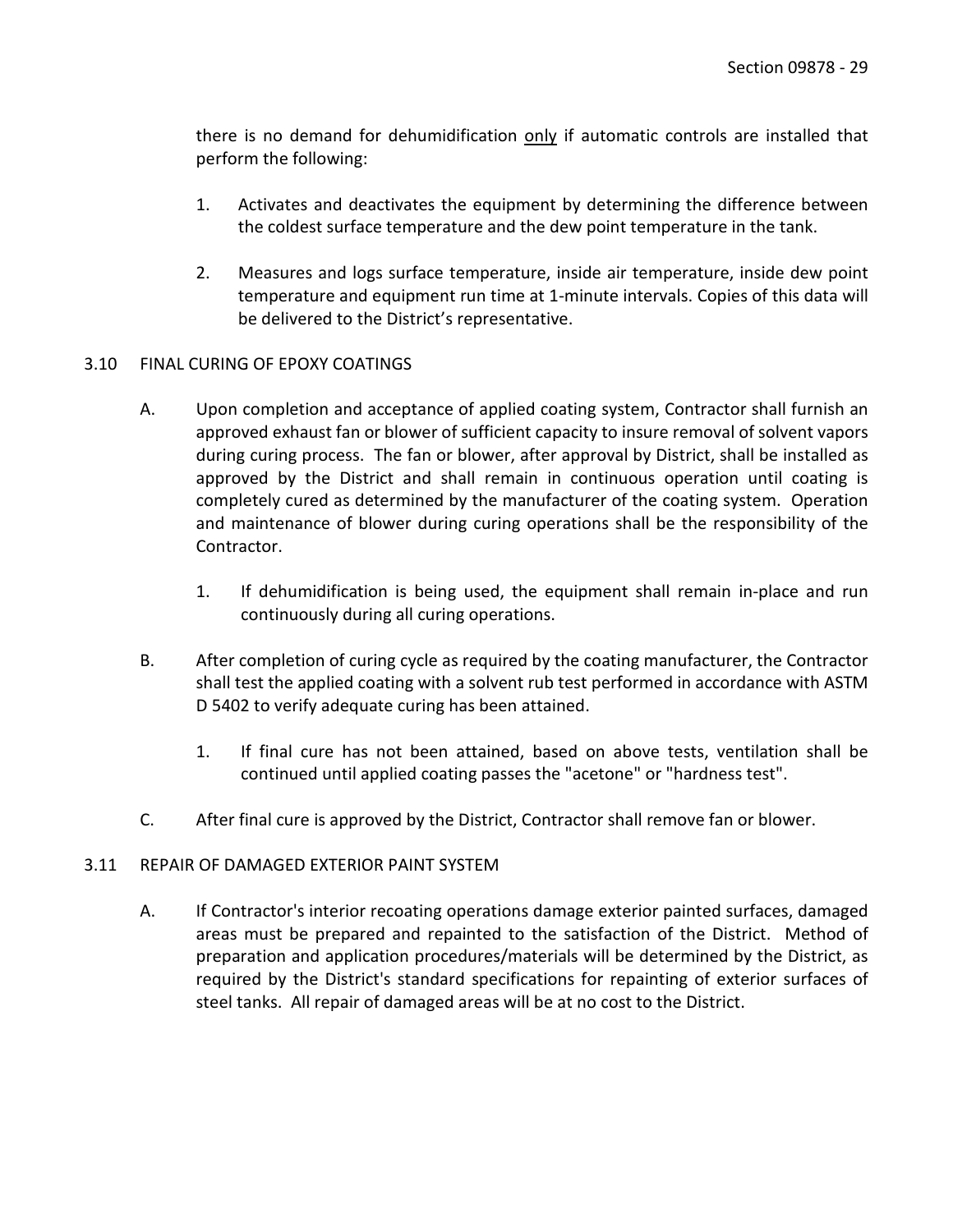there is no demand for dehumidification only if automatic controls are installed that perform the following:

- 1. Activates and deactivates the equipment by determining the difference between the coldest surface temperature and the dew point temperature in the tank.
- 2. Measures and logs surface temperature, inside air temperature, inside dew point temperature and equipment run time at 1-minute intervals. Copies of this data will be delivered to the District's representative.

### <span id="page-30-0"></span>3.10 FINAL CURING OF EPOXY COATINGS

- A. Upon completion and acceptance of applied coating system, Contractor shall furnish an approved exhaust fan or blower of sufficient capacity to insure removal of solvent vapors during curing process. The fan or blower, after approval by District, shall be installed as approved by the District and shall remain in continuous operation until coating is completely cured as determined by the manufacturer of the coating system. Operation and maintenance of blower during curing operations shall be the responsibility of the Contractor.
	- 1. If dehumidification is being used, the equipment shall remain in-place and run continuously during all curing operations.
- B. After completion of curing cycle as required by the coating manufacturer, the Contractor shall test the applied coating with a solvent rub test performed in accordance with ASTM D 5402 to verify adequate curing has been attained.
	- 1. If final cure has not been attained, based on above tests, ventilation shall be continued until applied coating passes the "acetone" or "hardness test".
- C. After final cure is approved by the District, Contractor shall remove fan or blower.

### <span id="page-30-1"></span>3.11 REPAIR OF DAMAGED EXTERIOR PAINT SYSTEM

A. If Contractor's interior recoating operations damage exterior painted surfaces, damaged areas must be prepared and repainted to the satisfaction of the District. Method of preparation and application procedures/materials will be determined by the District, as required by the District's standard specifications for repainting of exterior surfaces of steel tanks. All repair of damaged areas will be at no cost to the District.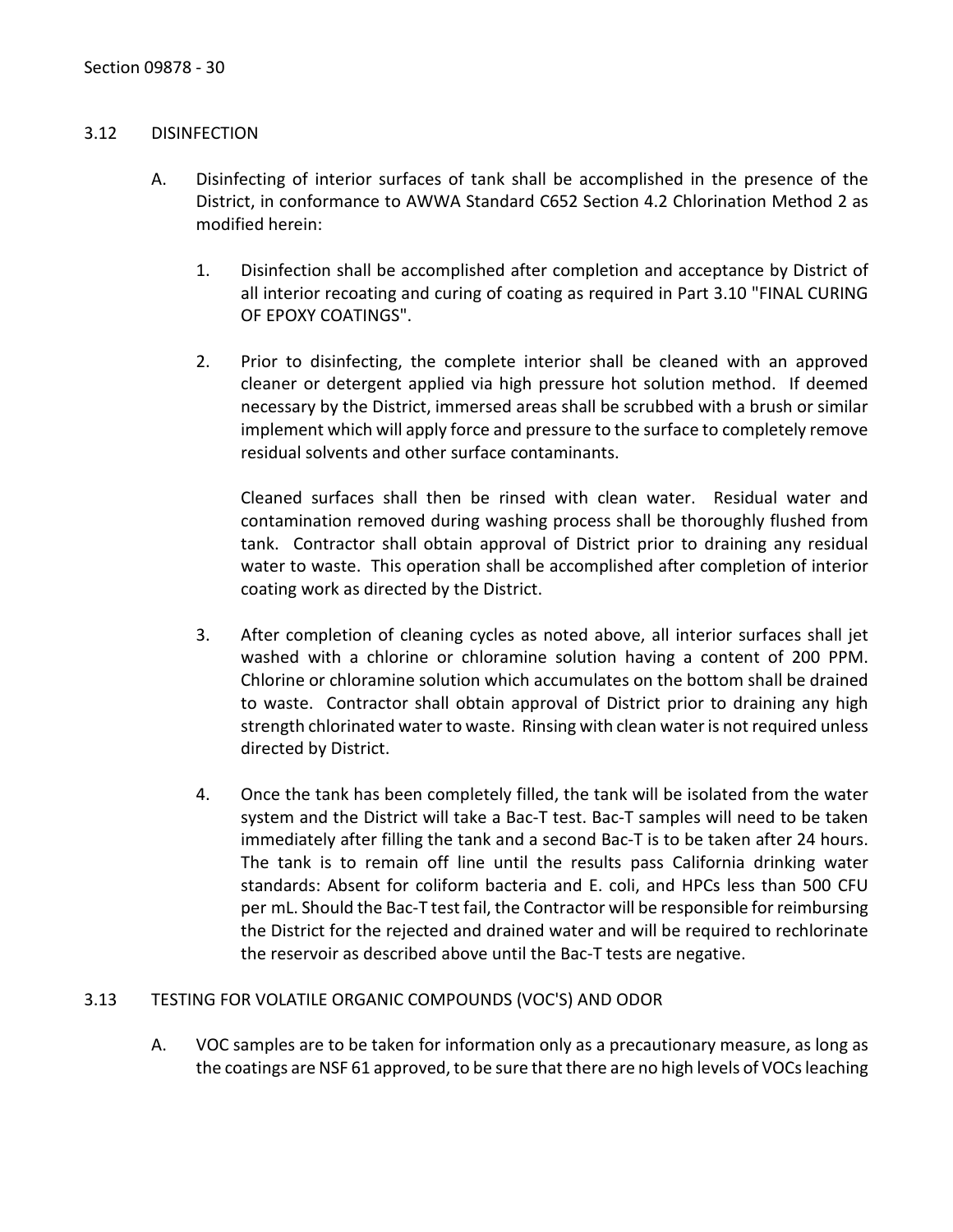#### <span id="page-31-0"></span>3.12 DISINFECTION

- A. Disinfecting of interior surfaces of tank shall be accomplished in the presence of the District, in conformance to AWWA Standard C652 Section 4.2 Chlorination Method 2 as modified herein:
	- 1. Disinfection shall be accomplished after completion and acceptance by District of all interior recoating and curing of coating as required in Part 3.10 "FINAL CURING OF EPOXY COATINGS".
	- 2. Prior to disinfecting, the complete interior shall be cleaned with an approved cleaner or detergent applied via high pressure hot solution method. If deemed necessary by the District, immersed areas shall be scrubbed with a brush or similar implement which will apply force and pressure to the surface to completely remove residual solvents and other surface contaminants.

Cleaned surfaces shall then be rinsed with clean water. Residual water and contamination removed during washing process shall be thoroughly flushed from tank. Contractor shall obtain approval of District prior to draining any residual water to waste. This operation shall be accomplished after completion of interior coating work as directed by the District.

- 3. After completion of cleaning cycles as noted above, all interior surfaces shall jet washed with a chlorine or chloramine solution having a content of 200 PPM. Chlorine or chloramine solution which accumulates on the bottom shall be drained to waste. Contractor shall obtain approval of District prior to draining any high strength chlorinated water to waste. Rinsing with clean water is not required unless directed by District.
- 4. Once the tank has been completely filled, the tank will be isolated from the water system and the District will take a Bac-T test. Bac-T samples will need to be taken immediately after filling the tank and a second Bac-T is to be taken after 24 hours. The tank is to remain off line until the results pass California drinking water standards: Absent for coliform bacteria and E. coli, and HPCs less than 500 CFU per mL. Should the Bac-T test fail, the Contractor will be responsible for reimbursing the District for the rejected and drained water and will be required to rechlorinate the reservoir as described above until the Bac-T tests are negative.

### <span id="page-31-1"></span>3.13 TESTING FOR VOLATILE ORGANIC COMPOUNDS (VOC'S) AND ODOR

A. VOC samples are to be taken for information only as a precautionary measure, as long as the coatings are NSF 61 approved, to be sure that there are no high levels of VOCs leaching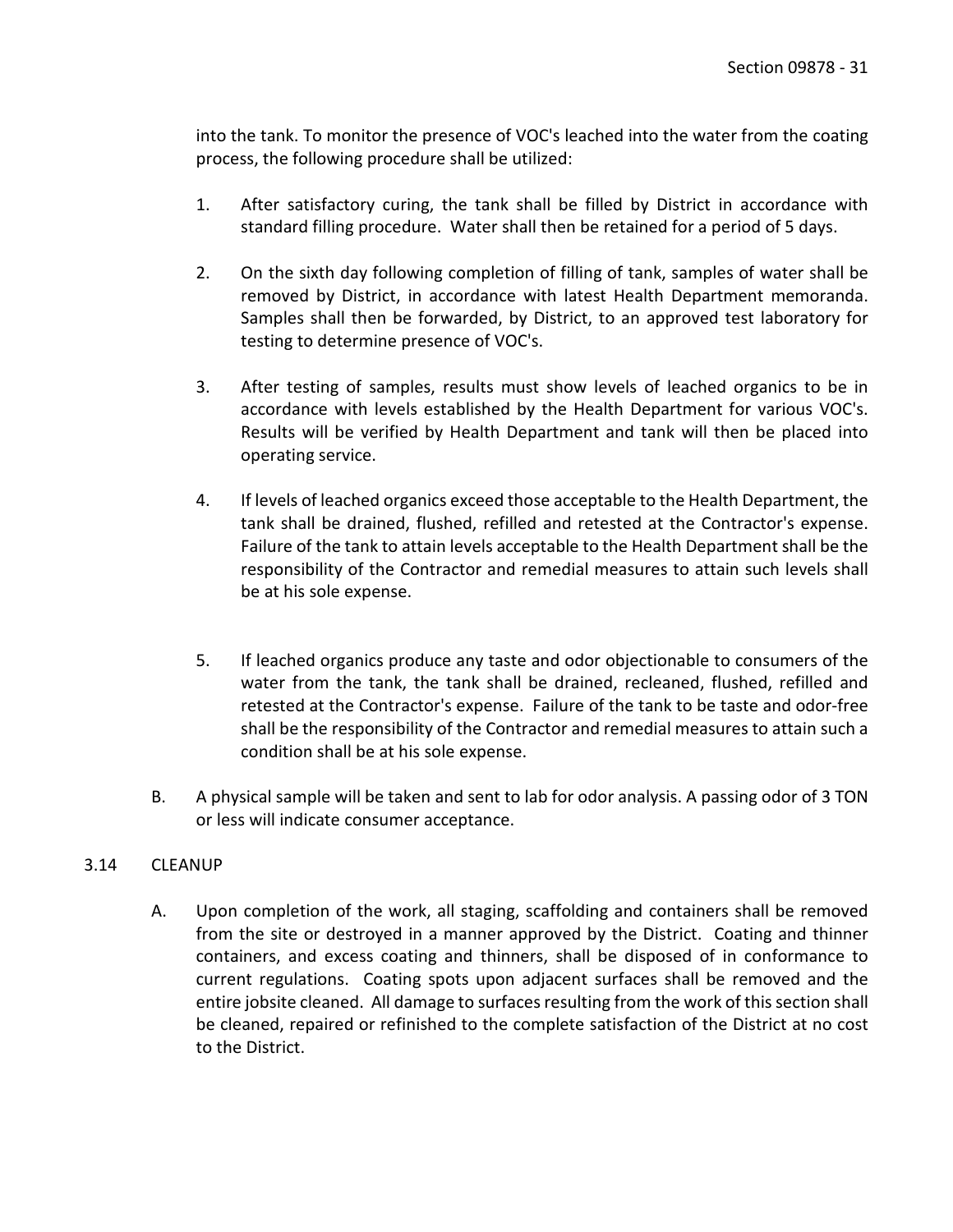into the tank. To monitor the presence of VOC's leached into the water from the coating process, the following procedure shall be utilized:

- 1. After satisfactory curing, the tank shall be filled by District in accordance with standard filling procedure. Water shall then be retained for a period of 5 days.
- 2. On the sixth day following completion of filling of tank, samples of water shall be removed by District, in accordance with latest Health Department memoranda. Samples shall then be forwarded, by District, to an approved test laboratory for testing to determine presence of VOC's.
- 3. After testing of samples, results must show levels of leached organics to be in accordance with levels established by the Health Department for various VOC's. Results will be verified by Health Department and tank will then be placed into operating service.
- 4. If levels of leached organics exceed those acceptable to the Health Department, the tank shall be drained, flushed, refilled and retested at the Contractor's expense. Failure of the tank to attain levels acceptable to the Health Department shall be the responsibility of the Contractor and remedial measures to attain such levels shall be at his sole expense.
- 5. If leached organics produce any taste and odor objectionable to consumers of the water from the tank, the tank shall be drained, recleaned, flushed, refilled and retested at the Contractor's expense. Failure of the tank to be taste and odor-free shall be the responsibility of the Contractor and remedial measures to attain such a condition shall be at his sole expense.
- B. A physical sample will be taken and sent to lab for odor analysis. A passing odor of 3 TON or less will indicate consumer acceptance.

# <span id="page-32-0"></span>3.14 CLEANUP

A. Upon completion of the work, all staging, scaffolding and containers shall be removed from the site or destroyed in a manner approved by the District. Coating and thinner containers, and excess coating and thinners, shall be disposed of in conformance to current regulations. Coating spots upon adjacent surfaces shall be removed and the entire jobsite cleaned. All damage to surfaces resulting from the work of this section shall be cleaned, repaired or refinished to the complete satisfaction of the District at no cost to the District.